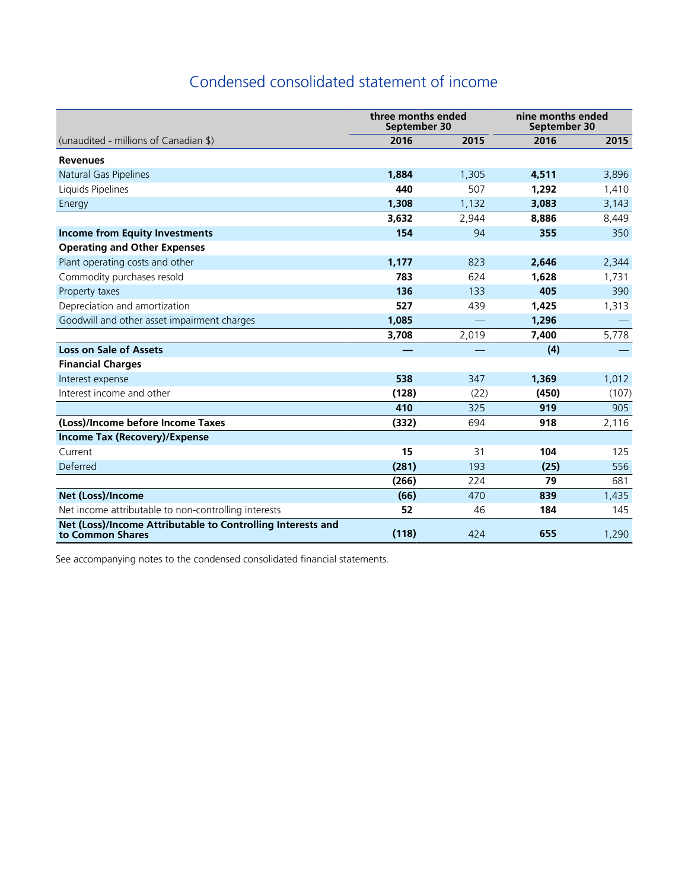# Condensed consolidated statement of income

|                                                                                 | three months ended<br>September 30 |       | nine months ended<br>September 30 |       |
|---------------------------------------------------------------------------------|------------------------------------|-------|-----------------------------------|-------|
| (unaudited - millions of Canadian \$)                                           | 2016                               | 2015  | 2016                              | 2015  |
| <b>Revenues</b>                                                                 |                                    |       |                                   |       |
| Natural Gas Pipelines                                                           | 1,884                              | 1,305 | 4,511                             | 3,896 |
| Liquids Pipelines                                                               | 440                                | 507   | 1,292                             | 1,410 |
| Energy                                                                          | 1,308                              | 1,132 | 3,083                             | 3,143 |
|                                                                                 | 3,632                              | 2,944 | 8,886                             | 8,449 |
| <b>Income from Equity Investments</b>                                           | 154                                | 94    | 355                               | 350   |
| <b>Operating and Other Expenses</b>                                             |                                    |       |                                   |       |
| Plant operating costs and other                                                 | 1,177                              | 823   | 2,646                             | 2,344 |
| Commodity purchases resold                                                      | 783                                | 624   | 1,628                             | 1,731 |
| Property taxes                                                                  | 136                                | 133   | 405                               | 390   |
| Depreciation and amortization                                                   | 527                                | 439   | 1,425                             | 1,313 |
| Goodwill and other asset impairment charges                                     | 1,085                              |       | 1,296                             |       |
|                                                                                 | 3,708                              | 2,019 | 7,400                             | 5,778 |
| <b>Loss on Sale of Assets</b>                                                   |                                    |       | (4)                               |       |
| <b>Financial Charges</b>                                                        |                                    |       |                                   |       |
| Interest expense                                                                | 538                                | 347   | 1,369                             | 1,012 |
| Interest income and other                                                       | (128)                              | (22)  | (450)                             | (107) |
|                                                                                 | 410                                | 325   | 919                               | 905   |
| (Loss)/Income before Income Taxes                                               | (332)                              | 694   | 918                               | 2,116 |
| <b>Income Tax (Recovery)/Expense</b>                                            |                                    |       |                                   |       |
| Current                                                                         | 15                                 | 31    | 104                               | 125   |
| Deferred                                                                        | (281)                              | 193   | (25)                              | 556   |
|                                                                                 | (266)                              | 224   | 79                                | 681   |
| Net (Loss)/Income                                                               | (66)                               | 470   | 839                               | 1,435 |
| Net income attributable to non-controlling interests                            | 52                                 | 46    | 184                               | 145   |
| Net (Loss)/Income Attributable to Controlling Interests and<br>to Common Shares | (118)                              | 424   | 655                               | 1,290 |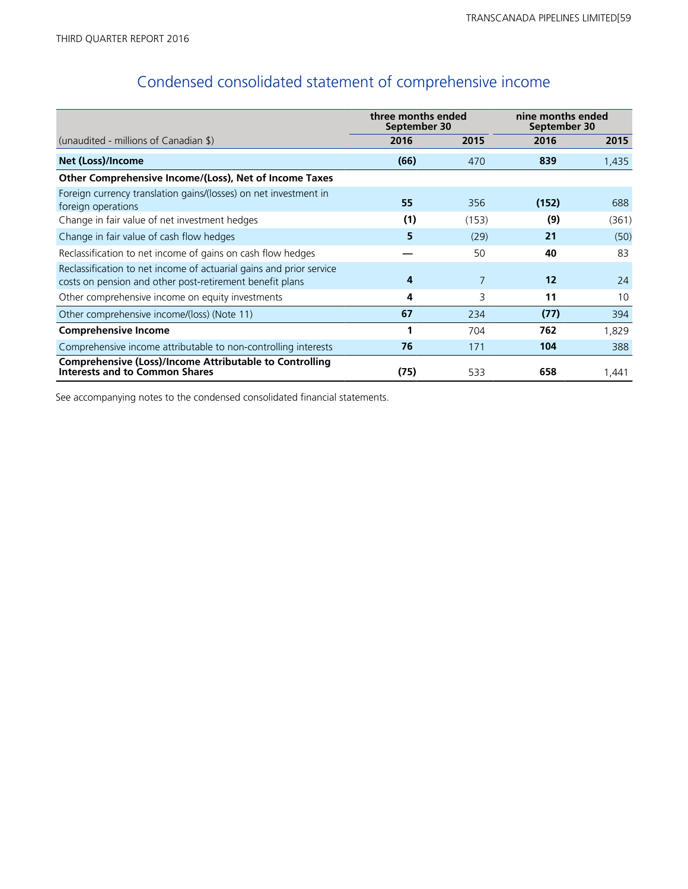# Condensed consolidated statement of comprehensive income

|                                                                                                                                 | three months ended<br>September 30 |       | nine months ended<br>September 30 |       |
|---------------------------------------------------------------------------------------------------------------------------------|------------------------------------|-------|-----------------------------------|-------|
| (unaudited - millions of Canadian \$)                                                                                           | 2016                               | 2015  | 2016                              | 2015  |
| Net (Loss)/Income                                                                                                               | (66)                               | 470   | 839                               | 1,435 |
| Other Comprehensive Income/(Loss), Net of Income Taxes                                                                          |                                    |       |                                   |       |
| Foreign currency translation gains/(losses) on net investment in<br>foreign operations                                          | 55                                 | 356   | (152)                             | 688   |
| Change in fair value of net investment hedges                                                                                   | (1)                                | (153) | (9)                               | (361) |
| Change in fair value of cash flow hedges                                                                                        | 5                                  | (29)  | 21                                | (50)  |
| Reclassification to net income of gains on cash flow hedges                                                                     |                                    | 50    | 40                                | 83    |
| Reclassification to net income of actuarial gains and prior service<br>costs on pension and other post-retirement benefit plans | 4                                  | 7     | 12                                | 24    |
| Other comprehensive income on equity investments                                                                                | 4                                  | 3     | 11                                | 10    |
| Other comprehensive income/(loss) (Note 11)                                                                                     | 67                                 | 234   | (77)                              | 394   |
| <b>Comprehensive Income</b>                                                                                                     | 1                                  | 704   | 762                               | 1,829 |
| Comprehensive income attributable to non-controlling interests                                                                  | 76                                 | 171   | 104                               | 388   |
| <b>Comprehensive (Loss)/Income Attributable to Controlling</b><br><b>Interests and to Common Shares</b>                         | (75)                               | 533   | 658                               | 1,441 |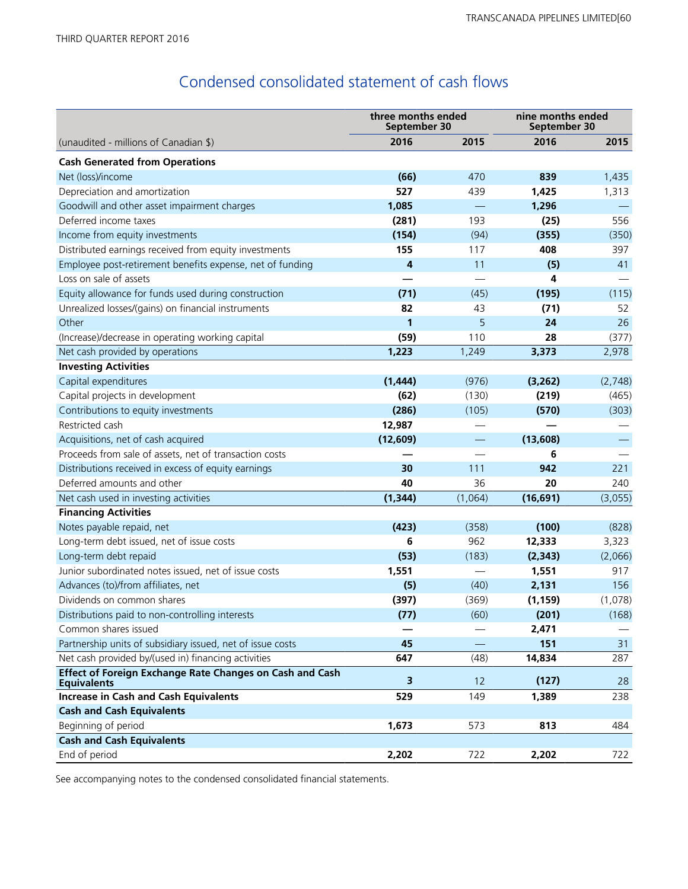# Condensed consolidated statement of cash flows

|                                                                                | three months ended<br>September 30 |         | nine months ended<br>September 30 |         |  |
|--------------------------------------------------------------------------------|------------------------------------|---------|-----------------------------------|---------|--|
| (unaudited - millions of Canadian \$)                                          | 2016                               | 2015    | 2016                              | 2015    |  |
| <b>Cash Generated from Operations</b>                                          |                                    |         |                                   |         |  |
| Net (loss)/income                                                              | (66)                               | 470     | 839                               | 1,435   |  |
| Depreciation and amortization                                                  | 527                                | 439     | 1,425                             | 1,313   |  |
| Goodwill and other asset impairment charges                                    | 1,085                              |         | 1,296                             |         |  |
| Deferred income taxes                                                          | (281)                              | 193     | (25)                              | 556     |  |
| Income from equity investments                                                 | (154)                              | (94)    | (355)                             | (350)   |  |
| Distributed earnings received from equity investments                          | 155                                | 117     | 408                               | 397     |  |
| Employee post-retirement benefits expense, net of funding                      | 4                                  | 11      | (5)                               | 41      |  |
| Loss on sale of assets                                                         |                                    |         | 4                                 |         |  |
| Equity allowance for funds used during construction                            | (71)                               | (45)    | (195)                             | (115)   |  |
| Unrealized losses/(gains) on financial instruments                             | 82                                 | 43      | (71)                              | 52      |  |
| Other                                                                          | 1                                  | 5       | 24                                | 26      |  |
| (Increase)/decrease in operating working capital                               | (59)                               | 110     | 28                                | (377)   |  |
| Net cash provided by operations                                                | 1,223                              | 1,249   | 3,373                             | 2,978   |  |
| <b>Investing Activities</b>                                                    |                                    |         |                                   |         |  |
| Capital expenditures                                                           | (1, 444)                           | (976)   | (3, 262)                          | (2,748) |  |
| Capital projects in development                                                | (62)                               | (130)   | (219)                             | (465)   |  |
| Contributions to equity investments                                            | (286)                              | (105)   | (570)                             | (303)   |  |
| Restricted cash                                                                | 12,987                             |         |                                   |         |  |
| Acquisitions, net of cash acquired                                             | (12,609)                           |         | (13,608)                          |         |  |
| Proceeds from sale of assets, net of transaction costs                         |                                    |         | 6                                 |         |  |
| Distributions received in excess of equity earnings                            | 30                                 | 111     | 942                               | 221     |  |
| Deferred amounts and other                                                     | 40                                 | 36      | 20                                | 240     |  |
| Net cash used in investing activities                                          | (1, 344)                           | (1,064) | (16, 691)                         | (3,055) |  |
| <b>Financing Activities</b>                                                    |                                    |         |                                   |         |  |
| Notes payable repaid, net                                                      | (423)                              | (358)   | (100)                             | (828)   |  |
| Long-term debt issued, net of issue costs                                      | 6                                  | 962     | 12,333                            | 3,323   |  |
| Long-term debt repaid                                                          | (53)                               | (183)   | (2, 343)                          | (2,066) |  |
| Junior subordinated notes issued, net of issue costs                           | 1,551                              |         | 1,551                             | 917     |  |
| Advances (to)/from affiliates, net                                             | (5)                                | (40)    | 2,131                             | 156     |  |
| Dividends on common shares                                                     | (397)                              | (369)   | (1, 159)                          | (1,078) |  |
| Distributions paid to non-controlling interests                                | (77)                               | (60)    | (201)                             | (168)   |  |
| Common shares issued                                                           |                                    |         | 2,471                             |         |  |
| Partnership units of subsidiary issued, net of issue costs                     | 45                                 |         | 151                               | 31      |  |
| Net cash provided by/(used in) financing activities                            | 647                                | (48)    | 14,834                            | 287     |  |
| Effect of Foreign Exchange Rate Changes on Cash and Cash<br><b>Equivalents</b> | 3                                  | 12      | (127)                             | 28      |  |
| <b>Increase in Cash and Cash Equivalents</b>                                   | 529                                | 149     | 1,389                             | 238     |  |
| <b>Cash and Cash Equivalents</b>                                               |                                    |         |                                   |         |  |
| Beginning of period                                                            | 1,673                              | 573     | 813                               | 484     |  |
| <b>Cash and Cash Equivalents</b>                                               |                                    |         |                                   |         |  |
| End of period                                                                  | 2,202                              | 722     | 2,202                             | 722     |  |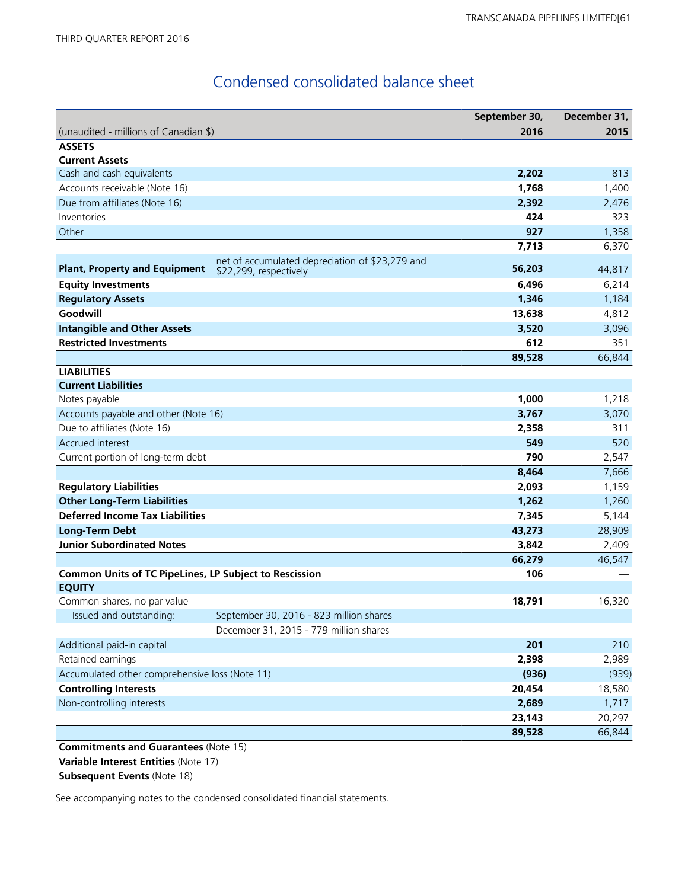# Condensed consolidated balance sheet

|                                                        |                                                                           | September 30, | December 31, |
|--------------------------------------------------------|---------------------------------------------------------------------------|---------------|--------------|
| (unaudited - millions of Canadian \$)                  |                                                                           | 2016          | 2015         |
| <b>ASSETS</b>                                          |                                                                           |               |              |
| <b>Current Assets</b>                                  |                                                                           |               |              |
| Cash and cash equivalents                              |                                                                           | 2,202         | 813          |
| Accounts receivable (Note 16)                          |                                                                           | 1,768         | 1,400        |
| Due from affiliates (Note 16)                          |                                                                           | 2,392         | 2,476        |
| Inventories                                            |                                                                           | 424           | 323          |
| Other                                                  |                                                                           | 927           | 1,358        |
|                                                        |                                                                           | 7,713         | 6,370        |
| <b>Plant, Property and Equipment</b>                   | net of accumulated depreciation of \$23,279 and<br>\$22,299, respectively | 56,203        | 44,817       |
| <b>Equity Investments</b>                              |                                                                           | 6,496         | 6,214        |
| <b>Regulatory Assets</b>                               |                                                                           | 1,346         | 1,184        |
| Goodwill                                               |                                                                           | 13,638        | 4,812        |
| <b>Intangible and Other Assets</b>                     |                                                                           | 3,520         | 3,096        |
| <b>Restricted Investments</b>                          |                                                                           | 612           | 351          |
|                                                        |                                                                           | 89,528        | 66,844       |
| <b>LIABILITIES</b>                                     |                                                                           |               |              |
| <b>Current Liabilities</b>                             |                                                                           |               |              |
| Notes payable                                          |                                                                           | 1,000         | 1,218        |
| Accounts payable and other (Note 16)                   |                                                                           | 3,767         | 3,070        |
| Due to affiliates (Note 16)                            |                                                                           | 2,358         | 311          |
| Accrued interest                                       |                                                                           | 549           | 520          |
| Current portion of long-term debt                      |                                                                           | 790           | 2,547        |
|                                                        |                                                                           | 8,464         | 7,666        |
| <b>Regulatory Liabilities</b>                          |                                                                           | 2,093         | 1,159        |
| <b>Other Long-Term Liabilities</b>                     |                                                                           | 1,262         | 1,260        |
| <b>Deferred Income Tax Liabilities</b>                 |                                                                           | 7,345         | 5,144        |
| <b>Long-Term Debt</b>                                  |                                                                           | 43,273        | 28,909       |
| <b>Junior Subordinated Notes</b>                       |                                                                           | 3,842         | 2,409        |
|                                                        |                                                                           | 66,279        | 46,547       |
| Common Units of TC PipeLines, LP Subject to Rescission |                                                                           | 106           |              |
| <b>EQUITY</b>                                          |                                                                           |               |              |
| Common shares, no par value                            |                                                                           | 18,791        | 16,320       |
| Issued and outstanding:                                | September 30, 2016 - 823 million shares                                   |               |              |
|                                                        | December 31, 2015 - 779 million shares                                    |               |              |
| Additional paid-in capital                             |                                                                           | 201           | 210          |
| Retained earnings                                      |                                                                           | 2,398         | 2,989        |
| Accumulated other comprehensive loss (Note 11)         |                                                                           | (936)         | (939)        |
| <b>Controlling Interests</b>                           |                                                                           | 20,454        | 18,580       |
| Non-controlling interests                              |                                                                           | 2,689         | 1,717        |
|                                                        |                                                                           | 23,143        | 20,297       |
|                                                        |                                                                           | 89,528        | 66,844       |

**Commitments and Guarantees** (Note 15) **Variable Interest Entities** (Note 17) **Subsequent Events** (Note 18)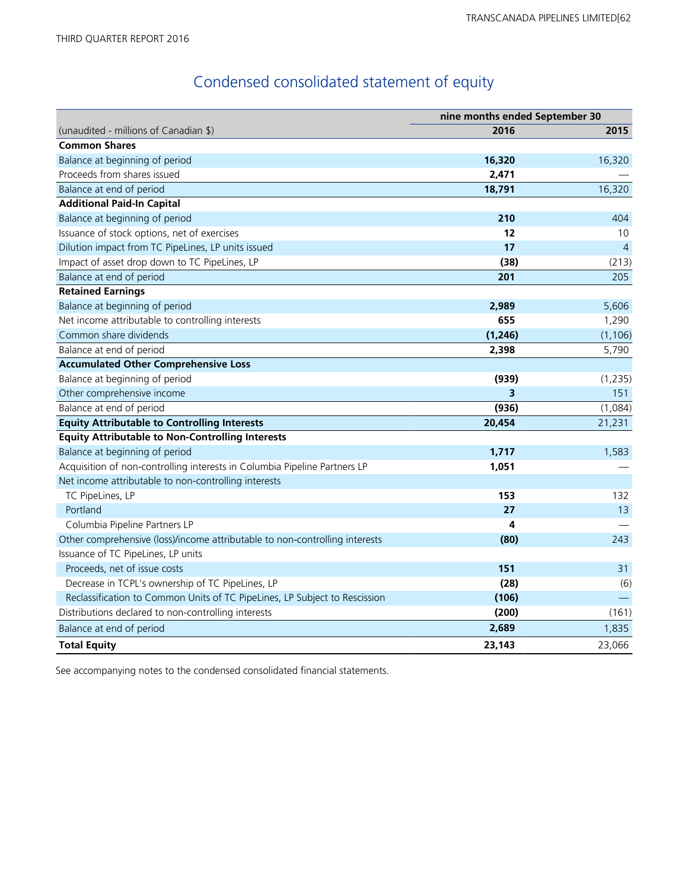# Condensed consolidated statement of equity

|                                                                             | nine months ended September 30 |                |  |
|-----------------------------------------------------------------------------|--------------------------------|----------------|--|
| (unaudited - millions of Canadian \$)                                       | 2016                           | 2015           |  |
| <b>Common Shares</b>                                                        |                                |                |  |
| Balance at beginning of period                                              | 16,320                         | 16,320         |  |
| Proceeds from shares issued                                                 | 2,471                          |                |  |
| Balance at end of period                                                    | 18,791                         | 16,320         |  |
| <b>Additional Paid-In Capital</b>                                           |                                |                |  |
| Balance at beginning of period                                              | 210                            | 404            |  |
| Issuance of stock options, net of exercises                                 | 12                             | 10             |  |
| Dilution impact from TC PipeLines, LP units issued                          | 17                             | $\overline{4}$ |  |
| Impact of asset drop down to TC PipeLines, LP                               | (38)                           | (213)          |  |
| Balance at end of period                                                    | 201                            | 205            |  |
| <b>Retained Earnings</b>                                                    |                                |                |  |
| Balance at beginning of period                                              | 2,989                          | 5,606          |  |
| Net income attributable to controlling interests                            | 655                            | 1,290          |  |
| Common share dividends                                                      | (1, 246)                       | (1, 106)       |  |
| Balance at end of period                                                    | 2,398                          | 5,790          |  |
| <b>Accumulated Other Comprehensive Loss</b>                                 |                                |                |  |
| Balance at beginning of period                                              | (939)                          | (1, 235)       |  |
| Other comprehensive income                                                  | 3                              | 151            |  |
| Balance at end of period                                                    | (936)                          | (1,084)        |  |
| <b>Equity Attributable to Controlling Interests</b>                         | 20,454                         | 21,231         |  |
| <b>Equity Attributable to Non-Controlling Interests</b>                     |                                |                |  |
| Balance at beginning of period                                              | 1,717                          | 1,583          |  |
| Acquisition of non-controlling interests in Columbia Pipeline Partners LP   | 1,051                          |                |  |
| Net income attributable to non-controlling interests                        |                                |                |  |
| TC PipeLines, LP                                                            | 153                            | 132            |  |
| Portland                                                                    | 27                             | 13             |  |
| Columbia Pipeline Partners LP                                               | 4                              |                |  |
| Other comprehensive (loss)/income attributable to non-controlling interests | (80)                           | 243            |  |
| Issuance of TC PipeLines, LP units                                          |                                |                |  |
| Proceeds, net of issue costs                                                | 151                            | 31             |  |
| Decrease in TCPL's ownership of TC PipeLines, LP                            | (28)                           | (6)            |  |
| Reclassification to Common Units of TC PipeLines, LP Subject to Rescission  | (106)                          |                |  |
| Distributions declared to non-controlling interests                         | (200)                          | (161)          |  |
| Balance at end of period                                                    | 2,689                          | 1,835          |  |
| <b>Total Equity</b>                                                         | 23,143                         | 23,066         |  |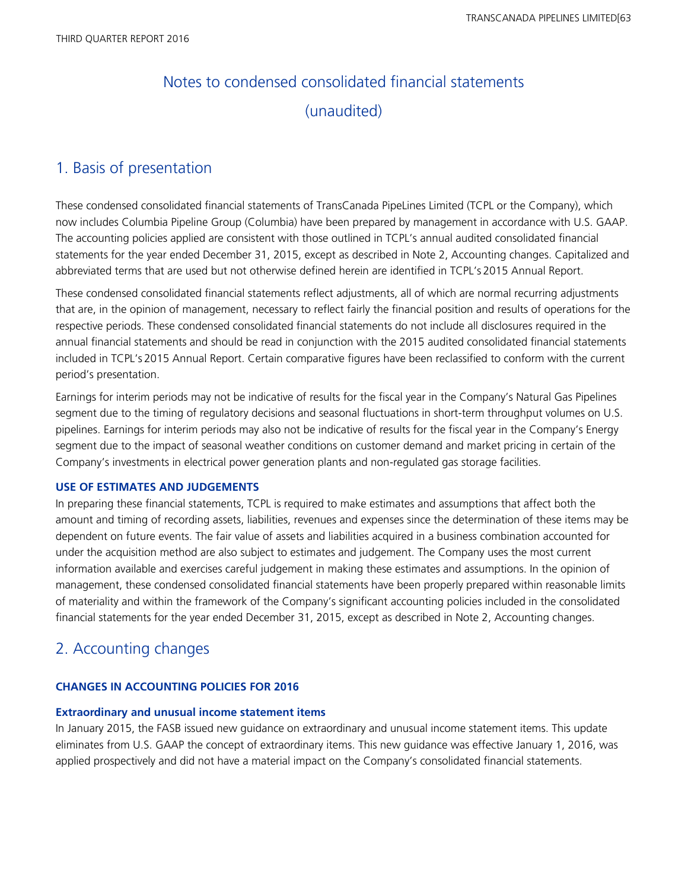# Notes to condensed consolidated financial statements (unaudited)

## 1. Basis of presentation

These condensed consolidated financial statements of TransCanada PipeLines Limited (TCPL or the Company), which now includes Columbia Pipeline Group (Columbia) have been prepared by management in accordance with U.S. GAAP. The accounting policies applied are consistent with those outlined in TCPL's annual audited consolidated financial statements for the year ended December 31, 2015, except as described in Note 2, Accounting changes. Capitalized and abbreviated terms that are used but not otherwise defined herein are identified in TCPL's 2015 Annual Report.

These condensed consolidated financial statements reflect adjustments, all of which are normal recurring adjustments that are, in the opinion of management, necessary to reflect fairly the financial position and results of operations for the respective periods. These condensed consolidated financial statements do not include all disclosures required in the annual financial statements and should be read in conjunction with the 2015 audited consolidated financial statements included in TCPL's 2015 Annual Report. Certain comparative figures have been reclassified to conform with the current period's presentation.

Earnings for interim periods may not be indicative of results for the fiscal year in the Company's Natural Gas Pipelines segment due to the timing of regulatory decisions and seasonal fluctuations in short-term throughput volumes on U.S. pipelines. Earnings for interim periods may also not be indicative of results for the fiscal year in the Company's Energy segment due to the impact of seasonal weather conditions on customer demand and market pricing in certain of the Company's investments in electrical power generation plants and non-regulated gas storage facilities.

## **USE OF ESTIMATES AND JUDGEMENTS**

In preparing these financial statements, TCPL is required to make estimates and assumptions that affect both the amount and timing of recording assets, liabilities, revenues and expenses since the determination of these items may be dependent on future events. The fair value of assets and liabilities acquired in a business combination accounted for under the acquisition method are also subject to estimates and judgement. The Company uses the most current information available and exercises careful judgement in making these estimates and assumptions. In the opinion of management, these condensed consolidated financial statements have been properly prepared within reasonable limits of materiality and within the framework of the Company's significant accounting policies included in the consolidated financial statements for the year ended December 31, 2015, except as described in Note 2, Accounting changes.

## 2. Accounting changes

## **CHANGES IN ACCOUNTING POLICIES FOR 2016**

## **Extraordinary and unusual income statement items**

In January 2015, the FASB issued new guidance on extraordinary and unusual income statement items. This update eliminates from U.S. GAAP the concept of extraordinary items. This new guidance was effective January 1, 2016, was applied prospectively and did not have a material impact on the Company's consolidated financial statements.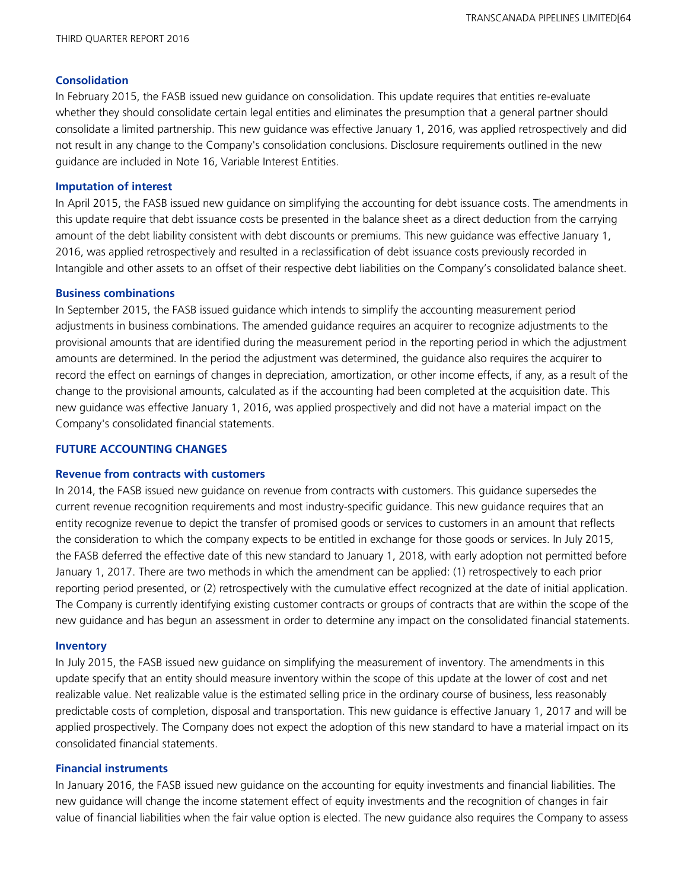### **Consolidation**

In February 2015, the FASB issued new guidance on consolidation. This update requires that entities re-evaluate whether they should consolidate certain legal entities and eliminates the presumption that a general partner should consolidate a limited partnership. This new guidance was effective January 1, 2016, was applied retrospectively and did not result in any change to the Company's consolidation conclusions. Disclosure requirements outlined in the new guidance are included in Note 16, Variable Interest Entities.

### **Imputation of interest**

In April 2015, the FASB issued new guidance on simplifying the accounting for debt issuance costs. The amendments in this update require that debt issuance costs be presented in the balance sheet as a direct deduction from the carrying amount of the debt liability consistent with debt discounts or premiums. This new guidance was effective January 1, 2016, was applied retrospectively and resulted in a reclassification of debt issuance costs previously recorded in Intangible and other assets to an offset of their respective debt liabilities on the Company's consolidated balance sheet.

### **Business combinations**

In September 2015, the FASB issued guidance which intends to simplify the accounting measurement period adjustments in business combinations. The amended guidance requires an acquirer to recognize adjustments to the provisional amounts that are identified during the measurement period in the reporting period in which the adjustment amounts are determined. In the period the adjustment was determined, the guidance also requires the acquirer to record the effect on earnings of changes in depreciation, amortization, or other income effects, if any, as a result of the change to the provisional amounts, calculated as if the accounting had been completed at the acquisition date. This new guidance was effective January 1, 2016, was applied prospectively and did not have a material impact on the Company's consolidated financial statements.

## **FUTURE ACCOUNTING CHANGES**

### **Revenue from contracts with customers**

In 2014, the FASB issued new guidance on revenue from contracts with customers. This guidance supersedes the current revenue recognition requirements and most industry-specific guidance. This new guidance requires that an entity recognize revenue to depict the transfer of promised goods or services to customers in an amount that reflects the consideration to which the company expects to be entitled in exchange for those goods or services. In July 2015, the FASB deferred the effective date of this new standard to January 1, 2018, with early adoption not permitted before January 1, 2017. There are two methods in which the amendment can be applied: (1) retrospectively to each prior reporting period presented, or (2) retrospectively with the cumulative effect recognized at the date of initial application. The Company is currently identifying existing customer contracts or groups of contracts that are within the scope of the new guidance and has begun an assessment in order to determine any impact on the consolidated financial statements.

### **Inventory**

In July 2015, the FASB issued new guidance on simplifying the measurement of inventory. The amendments in this update specify that an entity should measure inventory within the scope of this update at the lower of cost and net realizable value. Net realizable value is the estimated selling price in the ordinary course of business, less reasonably predictable costs of completion, disposal and transportation. This new guidance is effective January 1, 2017 and will be applied prospectively. The Company does not expect the adoption of this new standard to have a material impact on its consolidated financial statements.

### **Financial instruments**

In January 2016, the FASB issued new guidance on the accounting for equity investments and financial liabilities. The new guidance will change the income statement effect of equity investments and the recognition of changes in fair value of financial liabilities when the fair value option is elected. The new guidance also requires the Company to assess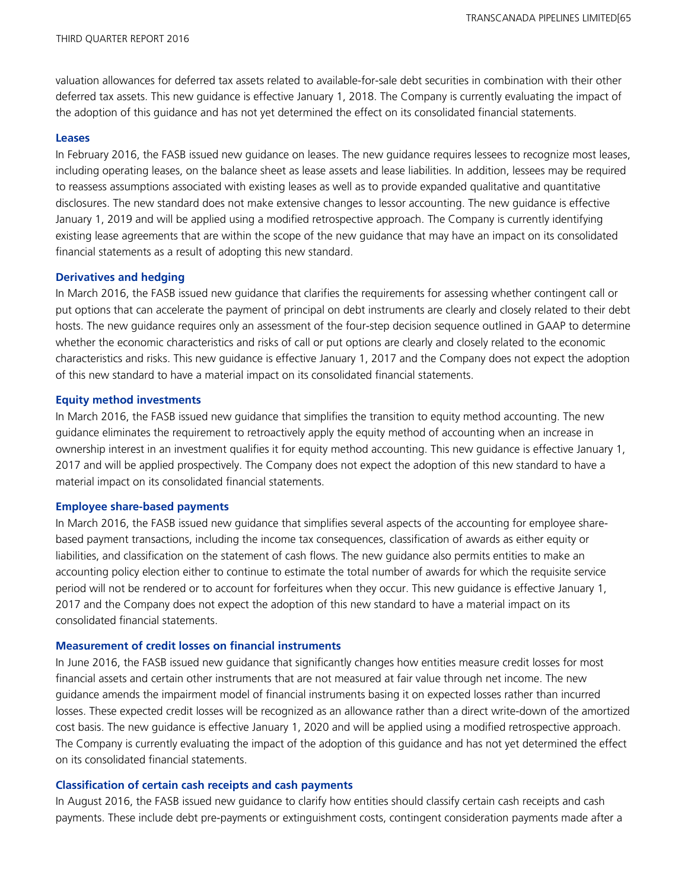valuation allowances for deferred tax assets related to available-for-sale debt securities in combination with their other deferred tax assets. This new guidance is effective January 1, 2018. The Company is currently evaluating the impact of the adoption of this guidance and has not yet determined the effect on its consolidated financial statements.

#### **Leases**

In February 2016, the FASB issued new guidance on leases. The new guidance requires lessees to recognize most leases, including operating leases, on the balance sheet as lease assets and lease liabilities. In addition, lessees may be required to reassess assumptions associated with existing leases as well as to provide expanded qualitative and quantitative disclosures. The new standard does not make extensive changes to lessor accounting. The new guidance is effective January 1, 2019 and will be applied using a modified retrospective approach. The Company is currently identifying existing lease agreements that are within the scope of the new guidance that may have an impact on its consolidated financial statements as a result of adopting this new standard.

#### **Derivatives and hedging**

In March 2016, the FASB issued new guidance that clarifies the requirements for assessing whether contingent call or put options that can accelerate the payment of principal on debt instruments are clearly and closely related to their debt hosts. The new guidance requires only an assessment of the four-step decision sequence outlined in GAAP to determine whether the economic characteristics and risks of call or put options are clearly and closely related to the economic characteristics and risks. This new guidance is effective January 1, 2017 and the Company does not expect the adoption of this new standard to have a material impact on its consolidated financial statements.

#### **Equity method investments**

In March 2016, the FASB issued new guidance that simplifies the transition to equity method accounting. The new guidance eliminates the requirement to retroactively apply the equity method of accounting when an increase in ownership interest in an investment qualifies it for equity method accounting. This new guidance is effective January 1, 2017 and will be applied prospectively. The Company does not expect the adoption of this new standard to have a material impact on its consolidated financial statements.

#### **Employee share-based payments**

In March 2016, the FASB issued new guidance that simplifies several aspects of the accounting for employee sharebased payment transactions, including the income tax consequences, classification of awards as either equity or liabilities, and classification on the statement of cash flows. The new guidance also permits entities to make an accounting policy election either to continue to estimate the total number of awards for which the requisite service period will not be rendered or to account for forfeitures when they occur. This new guidance is effective January 1, 2017 and the Company does not expect the adoption of this new standard to have a material impact on its consolidated financial statements.

### **Measurement of credit losses on financial instruments**

In June 2016, the FASB issued new guidance that significantly changes how entities measure credit losses for most financial assets and certain other instruments that are not measured at fair value through net income. The new guidance amends the impairment model of financial instruments basing it on expected losses rather than incurred losses. These expected credit losses will be recognized as an allowance rather than a direct write-down of the amortized cost basis. The new guidance is effective January 1, 2020 and will be applied using a modified retrospective approach. The Company is currently evaluating the impact of the adoption of this guidance and has not yet determined the effect on its consolidated financial statements.

### **Classification of certain cash receipts and cash payments**

In August 2016, the FASB issued new guidance to clarify how entities should classify certain cash receipts and cash payments. These include debt pre-payments or extinguishment costs, contingent consideration payments made after a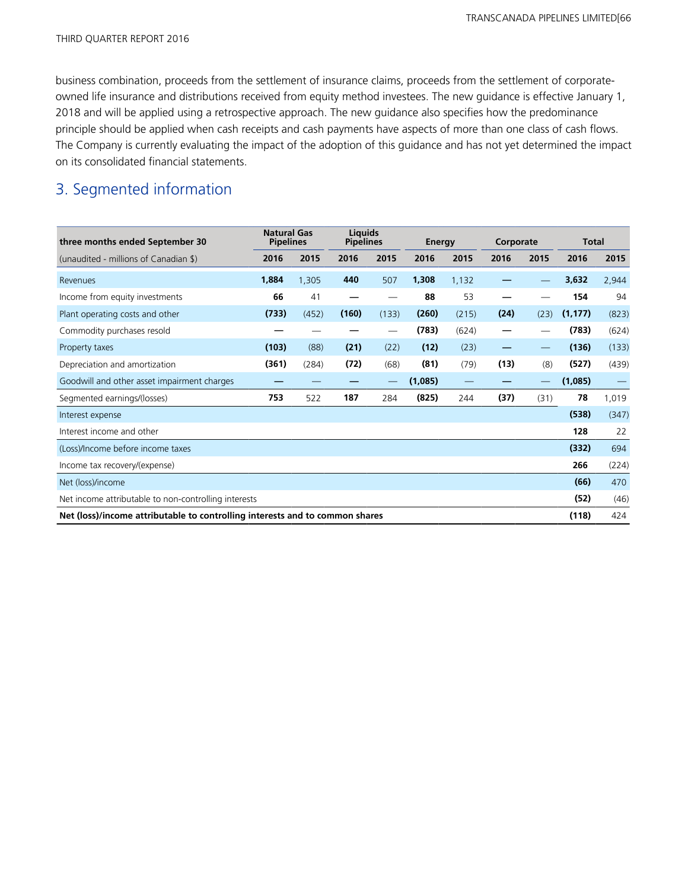business combination, proceeds from the settlement of insurance claims, proceeds from the settlement of corporateowned life insurance and distributions received from equity method investees. The new guidance is effective January 1, 2018 and will be applied using a retrospective approach. The new guidance also specifies how the predominance principle should be applied when cash receipts and cash payments have aspects of more than one class of cash flows. The Company is currently evaluating the impact of the adoption of this guidance and has not yet determined the impact on its consolidated financial statements.

## 3. Segmented information

| three months ended September 30                                                       | <b>Natural Gas</b><br><b>Pipelines</b> |       | <b>Liquids</b><br><b>Pipelines</b> |                                 | Energy  |       | Corporate |                                 | <b>Total</b> |                 |
|---------------------------------------------------------------------------------------|----------------------------------------|-------|------------------------------------|---------------------------------|---------|-------|-----------|---------------------------------|--------------|-----------------|
| (unaudited - millions of Canadian \$)                                                 | 2016                                   | 2015  | 2016                               | 2015                            | 2016    | 2015  | 2016      | 2015                            | 2016         | 2015            |
| Revenues                                                                              | 1,884                                  | 1,305 | 440                                | 507                             | 1,308   | 1,132 |           |                                 | 3,632        | 2,944           |
| Income from equity investments                                                        | 66                                     | 41    |                                    |                                 | 88      | 53    |           |                                 | 154          | 94              |
| Plant operating costs and other                                                       | (733)                                  | (452) | (160)                              | (133)                           | (260)   | (215) | (24)      | (23)                            | (1, 177)     | (823)           |
| Commodity purchases resold                                                            |                                        |       |                                    | $\hspace{0.1mm}-\hspace{0.1mm}$ | (783)   | (624) | -         |                                 | (783)        | (624)           |
| Property taxes                                                                        | (103)                                  | (88)  | (21)                               | (22)                            | (12)    | (23)  | –         | $\hspace{0.1mm}-\hspace{0.1mm}$ | (136)        | (133)           |
| Depreciation and amortization                                                         | (361)                                  | (284) | (72)                               | (68)                            | (81)    | (79)  | (13)      | (8)                             | (527)        | (439)           |
| Goodwill and other asset impairment charges                                           |                                        |       |                                    |                                 | (1,085) |       |           |                                 | (1,085)      | $\qquad \qquad$ |
| Segmented earnings/(losses)                                                           | 753                                    | 522   | 187                                | 284                             | (825)   | 244   | (37)      | (31)                            | 78           | 1,019           |
| Interest expense                                                                      |                                        |       |                                    |                                 |         |       |           |                                 | (538)        | (347)           |
| Interest income and other                                                             |                                        |       |                                    |                                 |         |       |           |                                 | 128          | 22              |
| (Loss)/Income before income taxes                                                     |                                        |       |                                    |                                 |         |       |           |                                 | (332)        | 694             |
| Income tax recovery/(expense)                                                         |                                        |       |                                    |                                 |         |       |           |                                 | 266          | (224)           |
| Net (loss)/income                                                                     |                                        |       |                                    |                                 |         |       |           |                                 | (66)         | 470             |
| (52)<br>Net income attributable to non-controlling interests                          |                                        |       |                                    |                                 |         |       |           | (46)                            |              |                 |
| Net (loss)/income attributable to controlling interests and to common shares<br>(118) |                                        |       |                                    |                                 |         |       |           |                                 | 424          |                 |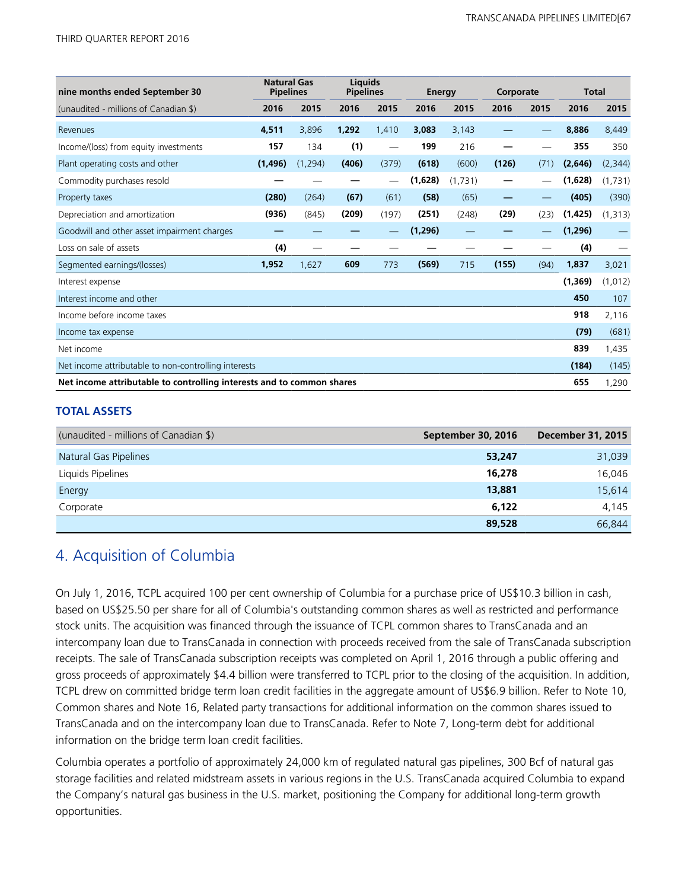| nine months ended September 30                                               | <b>Natural Gas</b><br><b>Pipelines</b> |          | <b>Liauids</b><br><b>Pipelines</b> |       | Energy   |         | Corporate |      | <b>Total</b> |          |
|------------------------------------------------------------------------------|----------------------------------------|----------|------------------------------------|-------|----------|---------|-----------|------|--------------|----------|
| (unaudited - millions of Canadian \$)                                        | 2016                                   | 2015     | 2016                               | 2015  | 2016     | 2015    | 2016      | 2015 | 2016         | 2015     |
| Revenues                                                                     | 4,511                                  | 3,896    | 1,292                              | 1,410 | 3,083    | 3,143   |           |      | 8,886        | 8,449    |
| Income/(loss) from equity investments                                        | 157                                    | 134      | (1)                                |       | 199      | 216     |           |      | 355          | 350      |
| Plant operating costs and other                                              | (1, 496)                               | (1, 294) | (406)                              | (379) | (618)    | (600)   | (126)     | (71) | (2,646)      | (2, 344) |
| Commodity purchases resold                                                   |                                        |          |                                    |       | (1,628)  | (1,731) |           |      | (1,628)      | (1,731)  |
| Property taxes                                                               | (280)                                  | (264)    | (67)                               | (61)  | (58)     | (65)    |           |      | (405)        | (390)    |
| Depreciation and amortization                                                | (936)                                  | (845)    | (209)                              | (197) | (251)    | (248)   | (29)      | (23) | (1, 425)     | (1, 313) |
| Goodwill and other asset impairment charges                                  |                                        |          |                                    |       | (1, 296) |         |           |      | (1, 296)     |          |
| Loss on sale of assets                                                       | (4)                                    |          |                                    |       |          |         |           |      | (4)          |          |
| Segmented earnings/(losses)                                                  | 1,952                                  | 1,627    | 609                                | 773   | (569)    | 715     | (155)     | (94) | 1,837        | 3,021    |
| Interest expense                                                             |                                        |          |                                    |       |          |         |           |      | (1, 369)     | (1, 012) |
| Interest income and other                                                    |                                        |          |                                    |       |          |         |           |      | 450          | 107      |
| Income before income taxes                                                   |                                        |          |                                    |       |          |         |           |      | 918          | 2,116    |
| Income tax expense                                                           |                                        |          |                                    |       |          |         |           |      | (79)         | (681)    |
| Net income                                                                   |                                        |          |                                    |       |          |         |           |      | 839          | 1,435    |
| Net income attributable to non-controlling interests                         |                                        |          |                                    |       |          |         |           |      | (184)        | (145)    |
| Net income attributable to controlling interests and to common shares<br>655 |                                        |          |                                    |       |          |         |           |      | 1,290        |          |

## **TOTAL ASSETS**

| (unaudited - millions of Canadian \$) | September 30, 2016 | <b>December 31, 2015</b> |
|---------------------------------------|--------------------|--------------------------|
| Natural Gas Pipelines                 | 53,247             | 31,039                   |
| Liquids Pipelines                     | 16,278             | 16,046                   |
| Energy                                | 13,881             | 15,614                   |
| Corporate                             | 6,122              | 4,145                    |
|                                       | 89,528             | 66,844                   |

## 4. Acquisition of Columbia

On July 1, 2016, TCPL acquired 100 per cent ownership of Columbia for a purchase price of US\$10.3 billion in cash, based on US\$25.50 per share for all of Columbia's outstanding common shares as well as restricted and performance stock units. The acquisition was financed through the issuance of TCPL common shares to TransCanada and an intercompany loan due to TransCanada in connection with proceeds received from the sale of TransCanada subscription receipts. The sale of TransCanada subscription receipts was completed on April 1, 2016 through a public offering and gross proceeds of approximately \$4.4 billion were transferred to TCPL prior to the closing of the acquisition. In addition, TCPL drew on committed bridge term loan credit facilities in the aggregate amount of US\$6.9 billion. Refer to Note 10, Common shares and Note 16, Related party transactions for additional information on the common shares issued to TransCanada and on the intercompany loan due to TransCanada. Refer to Note 7, Long-term debt for additional information on the bridge term loan credit facilities.

Columbia operates a portfolio of approximately 24,000 km of regulated natural gas pipelines, 300 Bcf of natural gas storage facilities and related midstream assets in various regions in the U.S. TransCanada acquired Columbia to expand the Company's natural gas business in the U.S. market, positioning the Company for additional long-term growth opportunities.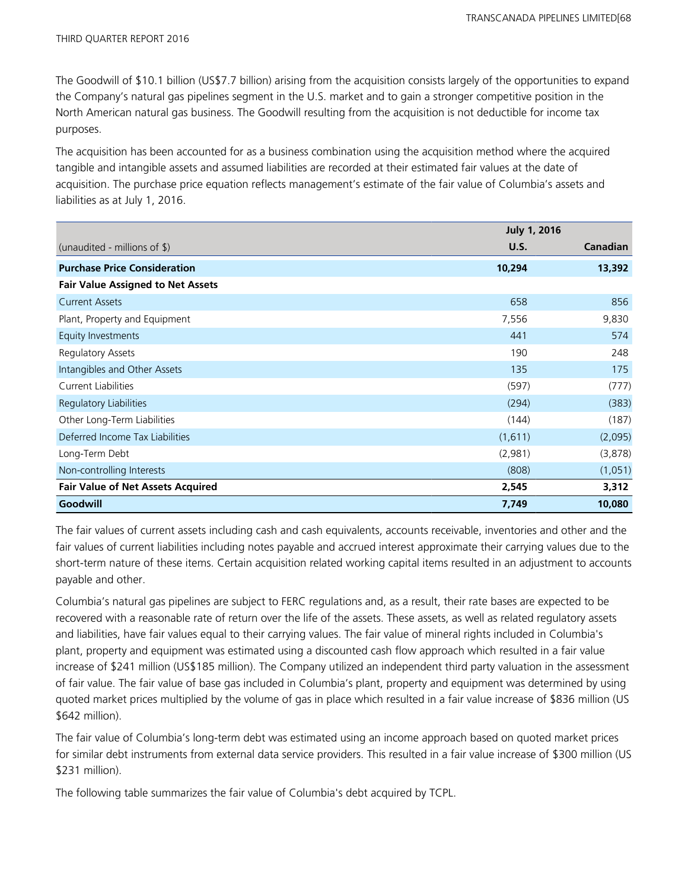The Goodwill of \$10.1 billion (US\$7.7 billion) arising from the acquisition consists largely of the opportunities to expand the Company's natural gas pipelines segment in the U.S. market and to gain a stronger competitive position in the North American natural gas business. The Goodwill resulting from the acquisition is not deductible for income tax purposes.

The acquisition has been accounted for as a business combination using the acquisition method where the acquired tangible and intangible assets and assumed liabilities are recorded at their estimated fair values at the date of acquisition. The purchase price equation reflects management's estimate of the fair value of Columbia's assets and liabilities as at July 1, 2016.

|                                          | <b>July 1, 2016</b> |                 |
|------------------------------------------|---------------------|-----------------|
| (unaudited - millions of $\frac{1}{2}$ ) | U.S.                | <b>Canadian</b> |
| <b>Purchase Price Consideration</b>      | 10,294              | 13,392          |
| <b>Fair Value Assigned to Net Assets</b> |                     |                 |
| <b>Current Assets</b>                    | 658                 | 856             |
| Plant, Property and Equipment            | 7,556               | 9,830           |
| Equity Investments                       | 441                 | 574             |
| <b>Regulatory Assets</b>                 | 190                 | 248             |
| Intangibles and Other Assets             | 135                 | 175             |
| <b>Current Liabilities</b>               | (597)               | (777)           |
| Regulatory Liabilities                   | (294)               | (383)           |
| Other Long-Term Liabilities              | (144)               | (187)           |
| Deferred Income Tax Liabilities          | (1,611)             | (2,095)         |
| Long-Term Debt                           | (2,981)             | (3,878)         |
| Non-controlling Interests                | (808)               | (1,051)         |
| <b>Fair Value of Net Assets Acquired</b> | 2,545               | 3,312           |
| Goodwill                                 | 7,749               | 10,080          |

The fair values of current assets including cash and cash equivalents, accounts receivable, inventories and other and the fair values of current liabilities including notes payable and accrued interest approximate their carrying values due to the short-term nature of these items. Certain acquisition related working capital items resulted in an adjustment to accounts payable and other.

Columbia's natural gas pipelines are subject to FERC regulations and, as a result, their rate bases are expected to be recovered with a reasonable rate of return over the life of the assets. These assets, as well as related regulatory assets and liabilities, have fair values equal to their carrying values. The fair value of mineral rights included in Columbia's plant, property and equipment was estimated using a discounted cash flow approach which resulted in a fair value increase of \$241 million (US\$185 million). The Company utilized an independent third party valuation in the assessment of fair value. The fair value of base gas included in Columbia's plant, property and equipment was determined by using quoted market prices multiplied by the volume of gas in place which resulted in a fair value increase of \$836 million (US \$642 million).

The fair value of Columbia's long-term debt was estimated using an income approach based on quoted market prices for similar debt instruments from external data service providers. This resulted in a fair value increase of \$300 million (US \$231 million).

The following table summarizes the fair value of Columbia's debt acquired by TCPL.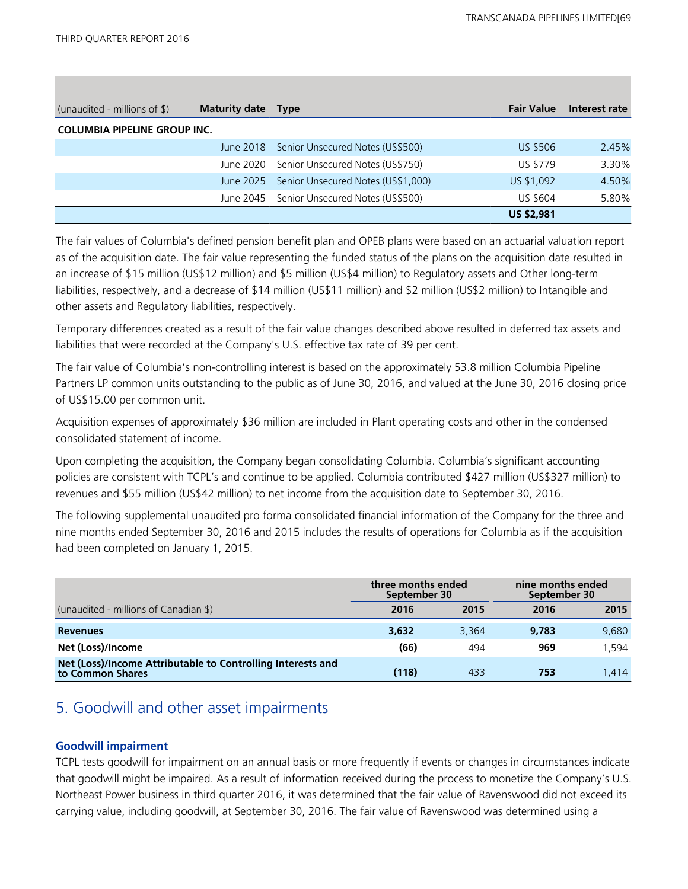| (unaudited - millions of $\frac{1}{2}$ ) | <b>Maturity date</b> | <b>Type</b>                        | <b>Fair Value</b> | Interest rate |
|------------------------------------------|----------------------|------------------------------------|-------------------|---------------|
| <b>COLUMBIA PIPELINE GROUP INC.</b>      |                      |                                    |                   |               |
|                                          | June 2018            | Senior Unsecured Notes (US\$500)   | <b>US \$506</b>   | 2.45%         |
|                                          | June 2020            | Senior Unsecured Notes (US\$750)   | <b>US \$779</b>   | 3.30%         |
|                                          | June 2025            | Senior Unsecured Notes (US\$1,000) | US \$1,092        | 4.50%         |
|                                          | June 2045            | Senior Unsecured Notes (US\$500)   | <b>US \$604</b>   | 5.80%         |
|                                          |                      |                                    | <b>US \$2,981</b> |               |

The fair values of Columbia's defined pension benefit plan and OPEB plans were based on an actuarial valuation report as of the acquisition date. The fair value representing the funded status of the plans on the acquisition date resulted in an increase of \$15 million (US\$12 million) and \$5 million (US\$4 million) to Regulatory assets and Other long-term liabilities, respectively, and a decrease of \$14 million (US\$11 million) and \$2 million (US\$2 million) to Intangible and other assets and Regulatory liabilities, respectively.

Temporary differences created as a result of the fair value changes described above resulted in deferred tax assets and liabilities that were recorded at the Company's U.S. effective tax rate of 39 per cent.

The fair value of Columbia's non-controlling interest is based on the approximately 53.8 million Columbia Pipeline Partners LP common units outstanding to the public as of June 30, 2016, and valued at the June 30, 2016 closing price of US\$15.00 per common unit.

Acquisition expenses of approximately \$36 million are included in Plant operating costs and other in the condensed consolidated statement of income.

Upon completing the acquisition, the Company began consolidating Columbia. Columbia's significant accounting policies are consistent with TCPL's and continue to be applied. Columbia contributed \$427 million (US\$327 million) to revenues and \$55 million (US\$42 million) to net income from the acquisition date to September 30, 2016.

The following supplemental unaudited pro forma consolidated financial information of the Company for the three and nine months ended September 30, 2016 and 2015 includes the results of operations for Columbia as if the acquisition had been completed on January 1, 2015.

|                                                                                 | three months ended<br>September 30 |       | nine months ended<br>September 30 |       |  |
|---------------------------------------------------------------------------------|------------------------------------|-------|-----------------------------------|-------|--|
| (unaudited - millions of Canadian \$)                                           | 2016                               | 2015  | 2016                              | 2015  |  |
| <b>Revenues</b>                                                                 | 3,632                              | 3,364 | 9.783                             | 9,680 |  |
| Net (Loss)/Income                                                               | (66)                               | 494   | 969                               | 1.594 |  |
| Net (Loss)/Income Attributable to Controlling Interests and<br>to Common Shares | (118)                              | 433   | 753                               | 1.414 |  |

## 5. Goodwill and other asset impairments

## **Goodwill impairment**

TCPL tests goodwill for impairment on an annual basis or more frequently if events or changes in circumstances indicate that goodwill might be impaired. As a result of information received during the process to monetize the Company's U.S. Northeast Power business in third quarter 2016, it was determined that the fair value of Ravenswood did not exceed its carrying value, including goodwill, at September 30, 2016. The fair value of Ravenswood was determined using a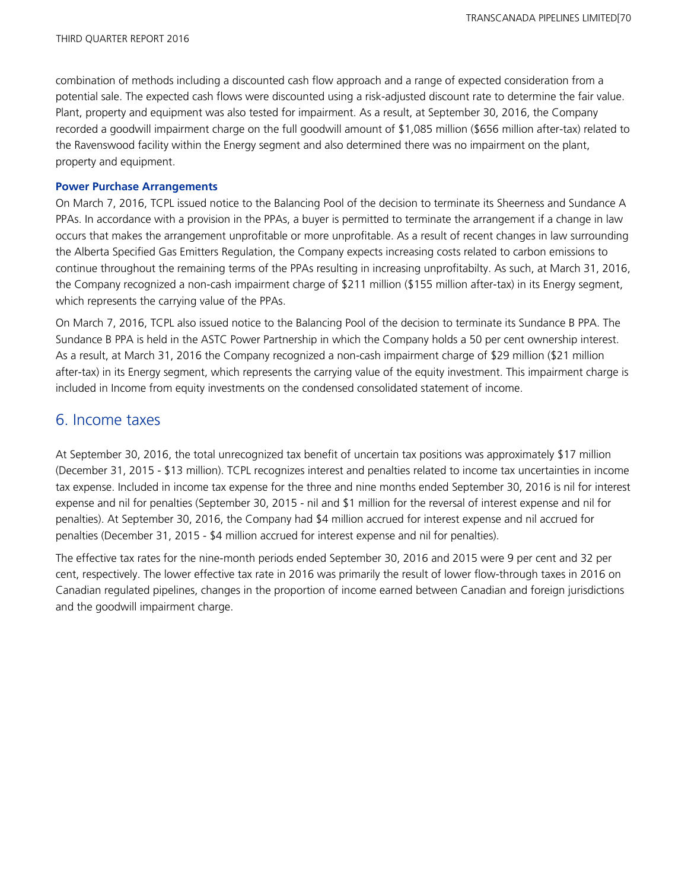combination of methods including a discounted cash flow approach and a range of expected consideration from a potential sale. The expected cash flows were discounted using a risk-adjusted discount rate to determine the fair value. Plant, property and equipment was also tested for impairment. As a result, at September 30, 2016, the Company recorded a goodwill impairment charge on the full goodwill amount of \$1,085 million (\$656 million after-tax) related to the Ravenswood facility within the Energy segment and also determined there was no impairment on the plant, property and equipment.

### **Power Purchase Arrangements**

On March 7, 2016, TCPL issued notice to the Balancing Pool of the decision to terminate its Sheerness and Sundance A PPAs. In accordance with a provision in the PPAs, a buyer is permitted to terminate the arrangement if a change in law occurs that makes the arrangement unprofitable or more unprofitable. As a result of recent changes in law surrounding the Alberta Specified Gas Emitters Regulation, the Company expects increasing costs related to carbon emissions to continue throughout the remaining terms of the PPAs resulting in increasing unprofitabilty. As such, at March 31, 2016, the Company recognized a non-cash impairment charge of \$211 million (\$155 million after-tax) in its Energy segment, which represents the carrying value of the PPAs.

On March 7, 2016, TCPL also issued notice to the Balancing Pool of the decision to terminate its Sundance B PPA. The Sundance B PPA is held in the ASTC Power Partnership in which the Company holds a 50 per cent ownership interest. As a result, at March 31, 2016 the Company recognized a non-cash impairment charge of \$29 million (\$21 million after-tax) in its Energy segment, which represents the carrying value of the equity investment. This impairment charge is included in Income from equity investments on the condensed consolidated statement of income.

## 6. Income taxes

At September 30, 2016, the total unrecognized tax benefit of uncertain tax positions was approximately \$17 million (December 31, 2015 - \$13 million). TCPL recognizes interest and penalties related to income tax uncertainties in income tax expense. Included in income tax expense for the three and nine months ended September 30, 2016 is nil for interest expense and nil for penalties (September 30, 2015 - nil and \$1 million for the reversal of interest expense and nil for penalties). At September 30, 2016, the Company had \$4 million accrued for interest expense and nil accrued for penalties (December 31, 2015 - \$4 million accrued for interest expense and nil for penalties).

The effective tax rates for the nine-month periods ended September 30, 2016 and 2015 were 9 per cent and 32 per cent, respectively. The lower effective tax rate in 2016 was primarily the result of lower flow-through taxes in 2016 on Canadian regulated pipelines, changes in the proportion of income earned between Canadian and foreign jurisdictions and the goodwill impairment charge.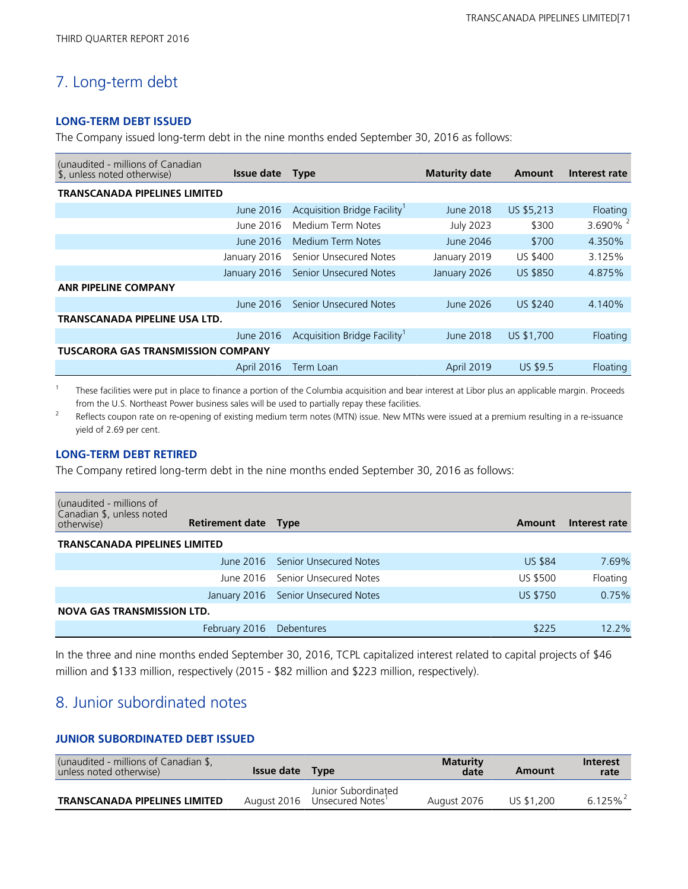## 7. Long-term debt

### **LONG-TERM DEBT ISSUED**

The Company issued long-term debt in the nine months ended September 30, 2016 as follows:

| (unaudited - millions of Canadian<br>\$, unless noted otherwise) | <b>Issue date</b> | <b>Type</b>                              | <b>Maturity date</b> | Amount          | Interest rate |
|------------------------------------------------------------------|-------------------|------------------------------------------|----------------------|-----------------|---------------|
| <b>TRANSCANADA PIPELINES LIMITED</b>                             |                   |                                          |                      |                 |               |
|                                                                  | June 2016         | Acquisition Bridge Facility <sup>1</sup> | June 2018            | US \$5,213      | Floating      |
|                                                                  | June 2016         | Medium Term Notes                        | <b>July 2023</b>     | \$300           | 3.690% $^{2}$ |
|                                                                  | June 2016         | Medium Term Notes                        | June 2046            | \$700           | 4.350%        |
|                                                                  | January 2016      | Senior Unsecured Notes                   | January 2019         | US \$400        | 3.125%        |
|                                                                  | January 2016      | <b>Senior Unsecured Notes</b>            | January 2026         | <b>US \$850</b> | 4.875%        |
| <b>ANR PIPELINE COMPANY</b>                                      |                   |                                          |                      |                 |               |
|                                                                  | $l$ lune 2016     | <b>Senior Unsecured Notes</b>            | June 2026            | <b>US \$240</b> | 4.140%        |
| TRANSCANADA PIPELINE USA LTD.                                    |                   |                                          |                      |                 |               |
|                                                                  | June 2016         | Acquisition Bridge Facility              | June 2018            | US \$1,700      | Floating      |
| <b>TUSCARORA GAS TRANSMISSION COMPANY</b>                        |                   |                                          |                      |                 |               |
|                                                                  | April 2016        | Term Loan                                | April 2019           | US \$9.5        | Floating      |

 $1$  These facilities were put in place to finance a portion of the Columbia acquisition and bear interest at Libor plus an applicable margin. Proceeds from the U.S. Northeast Power business sales will be used to partially repay these facilities.

<sup>2</sup> Reflects coupon rate on re-opening of existing medium term notes (MTN) issue. New MTNs were issued at a premium resulting in a re-issuance yield of 2.69 per cent.

### **LONG-TERM DEBT RETIRED**

The Company retired long-term debt in the nine months ended September 30, 2016 as follows:

| (unaudited - millions of<br>Canadian \$, unless noted<br>otherwise) | Retirement date Type |                                     | Amount          | Interest rate |
|---------------------------------------------------------------------|----------------------|-------------------------------------|-----------------|---------------|
| TRANSCANADA PIPELINES LIMITED                                       |                      |                                     |                 |               |
|                                                                     |                      | June 2016 Senior Unsecured Notes    | <b>US \$84</b>  | 7.69%         |
|                                                                     |                      | June 2016 Senior Unsecured Notes    | <b>US \$500</b> | Floating      |
|                                                                     |                      | January 2016 Senior Unsecured Notes | <b>US \$750</b> | 0.75%         |
| <b>NOVA GAS TRANSMISSION LTD.</b>                                   |                      |                                     |                 |               |
|                                                                     | February 2016        | Debentures                          | \$225           | 12.2%         |

In the three and nine months ended September 30, 2016, TCPL capitalized interest related to capital projects of \$46 million and \$133 million, respectively (2015 - \$82 million and \$223 million, respectively).

## 8. Junior subordinated notes

## **JUNIOR SUBORDINATED DEBT ISSUED**

| (unaudited - millions of Canadian \$,<br>unless noted otherwise) | Issue date Type |                                         | <b>Maturity</b><br>date | Amount     | <b>Interest</b><br>rate |
|------------------------------------------------------------------|-----------------|-----------------------------------------|-------------------------|------------|-------------------------|
| <b>TRANSCANADA PIPELINES LIMITED</b>                             | August 2016     | Junior Subordinated<br>Unsecured Notes' | August 2076             | US \$1,200 | $6.125\%$               |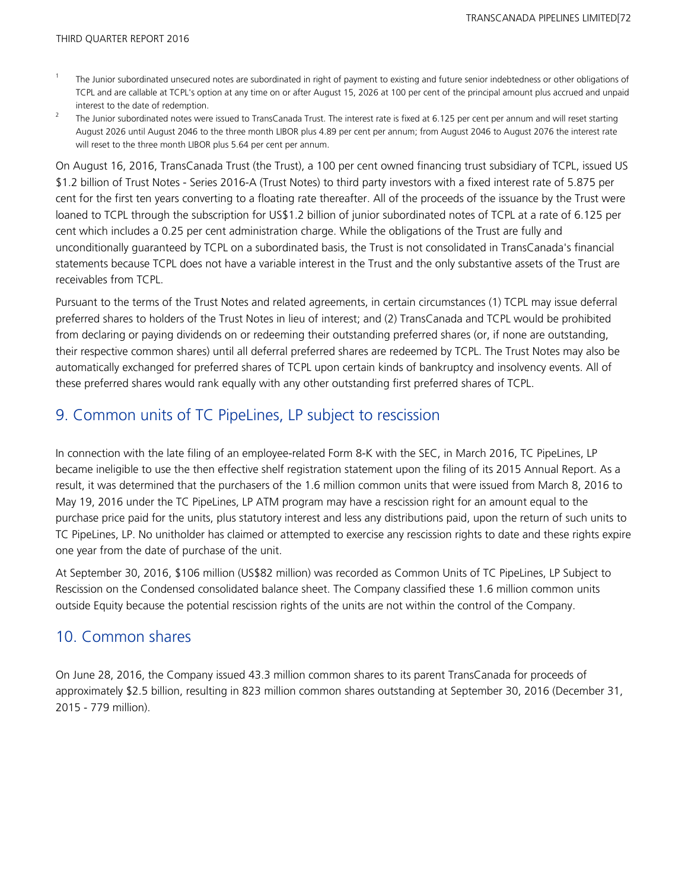- <sup>1</sup>The Junior subordinated unsecured notes are subordinated in right of payment to existing and future senior indebtedness or other obligations of TCPL and are callable at TCPL's option at any time on or after August 15, 2026 at 100 per cent of the principal amount plus accrued and unpaid interest to the date of redemption.
- <sup>2</sup> The Junior subordinated notes were issued to TransCanada Trust. The interest rate is fixed at 6.125 per cent per annum and will reset starting August 2026 until August 2046 to the three month LIBOR plus 4.89 per cent per annum; from August 2046 to August 2076 the interest rate will reset to the three month LIBOR plus 5.64 per cent per annum.

On August 16, 2016, TransCanada Trust (the Trust), a 100 per cent owned financing trust subsidiary of TCPL, issued US \$1.2 billion of Trust Notes - Series 2016-A (Trust Notes) to third party investors with a fixed interest rate of 5.875 per cent for the first ten years converting to a floating rate thereafter. All of the proceeds of the issuance by the Trust were loaned to TCPL through the subscription for US\$1.2 billion of junior subordinated notes of TCPL at a rate of 6.125 per cent which includes a 0.25 per cent administration charge. While the obligations of the Trust are fully and unconditionally guaranteed by TCPL on a subordinated basis, the Trust is not consolidated in TransCanada's financial statements because TCPL does not have a variable interest in the Trust and the only substantive assets of the Trust are receivables from TCPL.

Pursuant to the terms of the Trust Notes and related agreements, in certain circumstances (1) TCPL may issue deferral preferred shares to holders of the Trust Notes in lieu of interest; and (2) TransCanada and TCPL would be prohibited from declaring or paying dividends on or redeeming their outstanding preferred shares (or, if none are outstanding, their respective common shares) until all deferral preferred shares are redeemed by TCPL. The Trust Notes may also be automatically exchanged for preferred shares of TCPL upon certain kinds of bankruptcy and insolvency events. All of these preferred shares would rank equally with any other outstanding first preferred shares of TCPL.

## 9. Common units of TC PipeLines, LP subject to rescission

In connection with the late filing of an employee-related Form 8-K with the SEC, in March 2016, TC PipeLines, LP became ineligible to use the then effective shelf registration statement upon the filing of its 2015 Annual Report. As a result, it was determined that the purchasers of the 1.6 million common units that were issued from March 8, 2016 to May 19, 2016 under the TC PipeLines, LP ATM program may have a rescission right for an amount equal to the purchase price paid for the units, plus statutory interest and less any distributions paid, upon the return of such units to TC PipeLines, LP. No unitholder has claimed or attempted to exercise any rescission rights to date and these rights expire one year from the date of purchase of the unit.

At September 30, 2016, \$106 million (US\$82 million) was recorded as Common Units of TC PipeLines, LP Subject to Rescission on the Condensed consolidated balance sheet. The Company classified these 1.6 million common units outside Equity because the potential rescission rights of the units are not within the control of the Company.

## 10. Common shares

On June 28, 2016, the Company issued 43.3 million common shares to its parent TransCanada for proceeds of approximately \$2.5 billion, resulting in 823 million common shares outstanding at September 30, 2016 (December 31, 2015 - 779 million).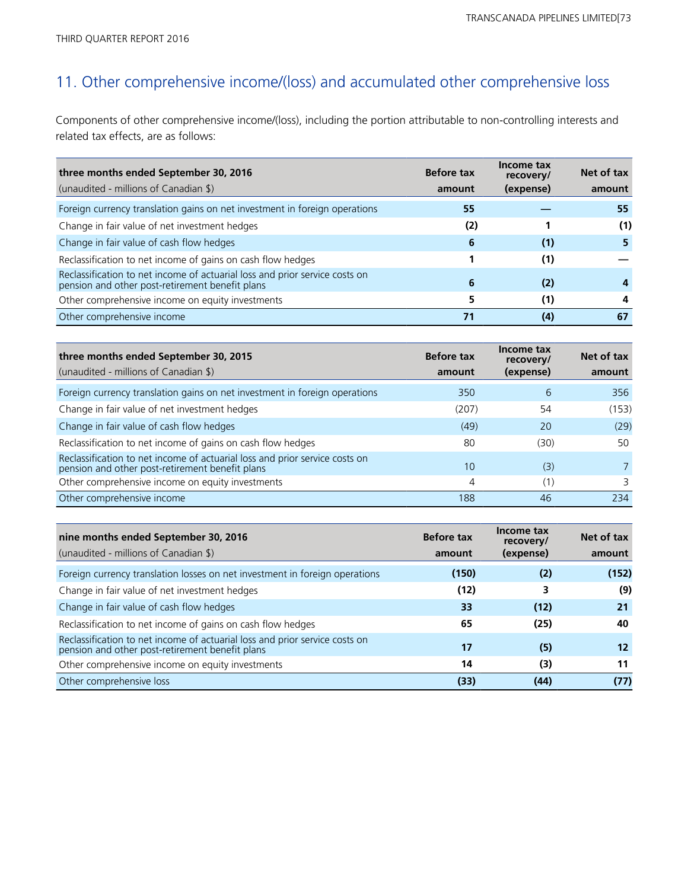# 11. Other comprehensive income/(loss) and accumulated other comprehensive loss

Components of other comprehensive income/(loss), including the portion attributable to non-controlling interests and related tax effects, are as follows:

| three months ended September 30, 2016<br>(unaudited - millions of Canadian \$)                                              | <b>Before tax</b><br>amount | Income tax<br>recovery/<br>(expense) | Net of tax<br>amount |
|-----------------------------------------------------------------------------------------------------------------------------|-----------------------------|--------------------------------------|----------------------|
| Foreign currency translation gains on net investment in foreign operations                                                  | 55                          |                                      | 55                   |
| Change in fair value of net investment hedges                                                                               | (2)                         |                                      | (1)                  |
| Change in fair value of cash flow hedges                                                                                    | 6                           | (1)                                  | 5                    |
| Reclassification to net income of gains on cash flow hedges                                                                 |                             | (1)                                  |                      |
| Reclassification to net income of actuarial loss and prior service costs on pension and other post-retirement benefit plans | 6                           | (2)                                  |                      |
| Other comprehensive income on equity investments                                                                            | 5                           | (1)                                  | 4                    |
| Other comprehensive income                                                                                                  | 71                          | (4)                                  | 67                   |

| three months ended September 30, 2015<br>(unaudited - millions of Canadian \$)                                                 | <b>Before tax</b><br>amount | Income tax<br>recovery/<br>(expense) | Net of tax<br>amount |
|--------------------------------------------------------------------------------------------------------------------------------|-----------------------------|--------------------------------------|----------------------|
| Foreign currency translation gains on net investment in foreign operations                                                     | 350                         | 6                                    | 356                  |
| Change in fair value of net investment hedges                                                                                  | (207)                       | 54                                   | (153)                |
| Change in fair value of cash flow hedges                                                                                       | (49)                        | 20                                   | (29)                 |
| Reclassification to net income of gains on cash flow hedges                                                                    | 80                          | (30)                                 | 50                   |
| Reclassification to net income of actuarial loss and prior service costs on<br>pension and other post-retirement benefit plans | 10 <sup>°</sup>             | (3)                                  |                      |
| Other comprehensive income on equity investments                                                                               | 4                           | (1)                                  | 3                    |
| Other comprehensive income                                                                                                     | 188                         | 46                                   | 234                  |

| nine months ended September 30, 2016<br>(unaudited - millions of Canadian \$)                                                  | <b>Before tax</b><br>amount | Income tax<br>recovery/<br>(expense) | Net of tax<br>amount |
|--------------------------------------------------------------------------------------------------------------------------------|-----------------------------|--------------------------------------|----------------------|
| Foreign currency translation losses on net investment in foreign operations                                                    | (150)                       | (2)                                  | (152)                |
| Change in fair value of net investment hedges                                                                                  | (12)                        | 3                                    | (9)                  |
| Change in fair value of cash flow hedges                                                                                       | 33                          | (12)                                 | 21                   |
| Reclassification to net income of gains on cash flow hedges                                                                    | 65                          | (25)                                 | 40                   |
| Reclassification to net income of actuarial loss and prior service costs on<br>pension and other post-retirement benefit plans | 17                          | (5)                                  | 12                   |
| Other comprehensive income on equity investments                                                                               | 14                          | (3)                                  | 11                   |
| Other comprehensive loss                                                                                                       | (33)                        | (44)                                 | (77)                 |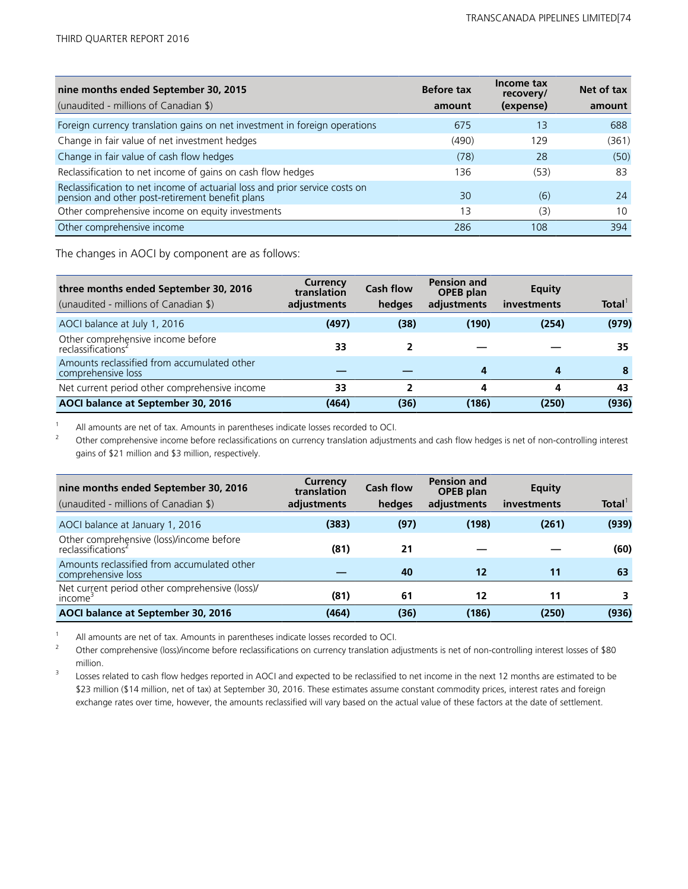| nine months ended September 30, 2015<br>(unaudited - millions of Canadian \$)                                                  | <b>Before tax</b><br>amount | Income tax<br>recovery/ | Net of tax |
|--------------------------------------------------------------------------------------------------------------------------------|-----------------------------|-------------------------|------------|
|                                                                                                                                |                             | (expense)               | amount     |
| Foreign currency translation gains on net investment in foreign operations                                                     | 675                         | 13                      | 688        |
| Change in fair value of net investment hedges                                                                                  | (490)                       | 129                     | (361)      |
| Change in fair value of cash flow hedges                                                                                       | (78)                        | 28                      | (50)       |
| Reclassification to net income of gains on cash flow hedges                                                                    | 136                         | (53)                    | 83         |
| Reclassification to net income of actuarial loss and prior service costs on<br>pension and other post-retirement benefit plans | 30                          | (6)                     | 24         |
| Other comprehensive income on equity investments                                                                               | 13                          | (3)                     | 10         |
| Other comprehensive income                                                                                                     | 286                         | 108                     | 394        |

The changes in AOCI by component are as follows:

| three months ended September 30, 2016<br>(unaudited - millions of Canadian \$) | Currency<br>translation<br>adjustments | <b>Cash flow</b><br>hedges | <b>Pension and</b><br><b>OPEB</b> plan<br>adjustments | <b>Equity</b><br>investments | Total <sup>1</sup> |
|--------------------------------------------------------------------------------|----------------------------------------|----------------------------|-------------------------------------------------------|------------------------------|--------------------|
| AOCI balance at July 1, 2016                                                   | (497)                                  | (38)                       | (190)                                                 | (254)                        | (979)              |
| Other comprehensive income before<br>reclassifications <sup>2</sup>            | 33                                     |                            |                                                       |                              | 35                 |
| Amounts reclassified from accumulated other<br>comprehensive loss              |                                        |                            | 4                                                     | 4                            | 8                  |
| Net current period other comprehensive income                                  | 33                                     | 2                          | 4                                                     | 4                            | 43                 |
| AOCI balance at September 30, 2016                                             | (464)                                  | (36)                       | (186)                                                 | (250)                        | (936)              |

<sup>1</sup> All amounts are net of tax. Amounts in parentheses indicate losses recorded to OCI.<br><sup>2</sup> Other comprehensive income hefore reclassifications on currency translation adjustments

<sup>2</sup>Other comprehensive income before reclassifications on currency translation adjustments and cash flow hedges is net of non-controlling interest gains of \$21 million and \$3 million, respectively.

| nine months ended September 30, 2016<br>(unaudited - millions of Canadian \$) | Currency<br>translation<br>adjustments | <b>Cash flow</b><br>hedges | <b>Pension and</b><br><b>OPEB</b> plan<br>adjustments | <b>Equity</b><br>investments | <b>Total</b> |
|-------------------------------------------------------------------------------|----------------------------------------|----------------------------|-------------------------------------------------------|------------------------------|--------------|
| AOCI balance at January 1, 2016                                               | (383)                                  | (97)                       | (198)                                                 | (261)                        | (939)        |
| Other comprehensive (loss)/income before<br>reclassifications <sup>2</sup>    | (81)                                   | 21                         |                                                       |                              | (60)         |
| Amounts reclassified from accumulated other<br>comprehensive loss             |                                        | 40                         | 12                                                    | 11                           | 63           |
| Net current period other comprehensive (loss)/<br>income                      | (81)                                   | 61                         | 12                                                    | 11                           |              |
| AOCI balance at September 30, 2016                                            | (464)                                  | (36)                       | (186)                                                 | (250)                        | (936)        |

<sup>1</sup> All amounts are net of tax. Amounts in parentheses indicate losses recorded to OCI.

<sup>2</sup>Other comprehensive (loss)/income before reclassifications on currency translation adjustments is net of non-controlling interest losses of \$80 million.

<sup>3</sup> Losses related to cash flow hedges reported in AOCI and expected to be reclassified to net income in the next 12 months are estimated to be \$23 million (\$14 million, net of tax) at September 30, 2016. These estimates assume constant commodity prices, interest rates and foreign exchange rates over time, however, the amounts reclassified will vary based on the actual value of these factors at the date of settlement.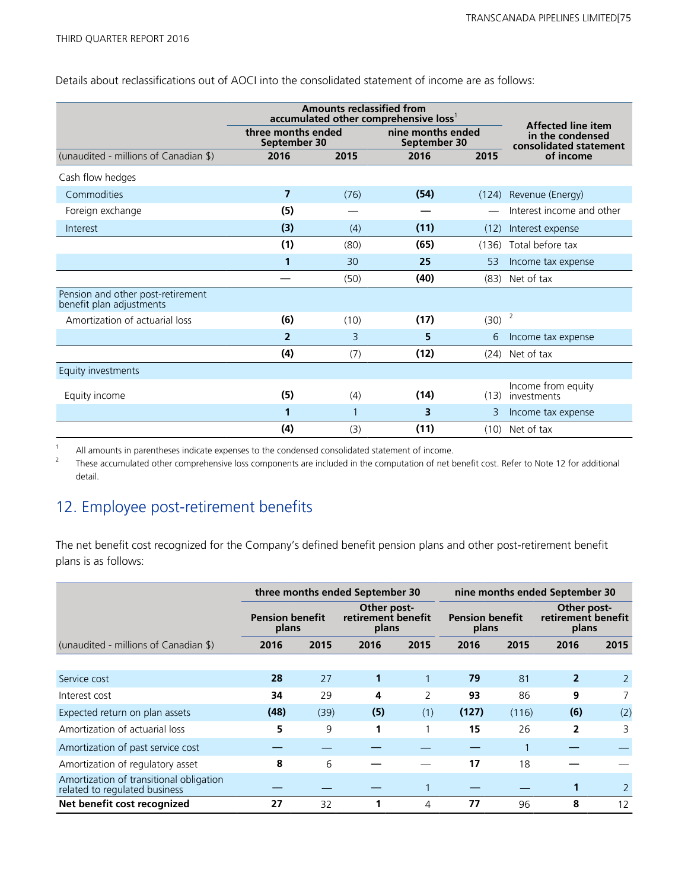Details about reclassifications out of AOCI into the consolidated statement of income are as follows:

|                                                               |                                    | <b>Amounts reclassified from</b><br>accumulated other comprehensive loss <sup>1</sup> |                                   | <b>Affected line item</b> |                                            |
|---------------------------------------------------------------|------------------------------------|---------------------------------------------------------------------------------------|-----------------------------------|---------------------------|--------------------------------------------|
|                                                               | three months ended<br>September 30 |                                                                                       | nine months ended<br>September 30 |                           | in the condensed<br>consolidated statement |
| (unaudited - millions of Canadian \$)                         | 2016                               | 2015                                                                                  |                                   | 2015                      | of income                                  |
| Cash flow hedges                                              |                                    |                                                                                       |                                   |                           |                                            |
| Commodities                                                   | $\overline{7}$                     | (76)                                                                                  | (54)                              | (124)                     | Revenue (Energy)                           |
| Foreign exchange                                              | (5)                                |                                                                                       |                                   |                           | Interest income and other                  |
| Interest                                                      | (3)                                | (4)                                                                                   | (11)                              | (12)                      | Interest expense                           |
|                                                               | (1)                                | (80)                                                                                  | (65)                              | (136)                     | Total before tax                           |
|                                                               | 1                                  | 30                                                                                    | 25                                | 53                        | Income tax expense                         |
|                                                               |                                    | (50)                                                                                  | (40)                              | (83)                      | Net of tax                                 |
| Pension and other post-retirement<br>benefit plan adjustments |                                    |                                                                                       |                                   |                           |                                            |
| Amortization of actuarial loss                                | (6)                                | (10)                                                                                  | (17)                              | (30)                      | 2                                          |
|                                                               | $\overline{2}$                     | 3                                                                                     | 5                                 | 6                         | Income tax expense                         |
|                                                               | (4)                                | (7)                                                                                   | (12)                              | (24)                      | Net of tax                                 |
| Equity investments                                            |                                    |                                                                                       |                                   |                           |                                            |
| Equity income                                                 | (5)                                | (4)                                                                                   | (14)                              | (13)                      | Income from equity<br>investments          |
|                                                               | 1                                  |                                                                                       | 3                                 | 3                         | Income tax expense                         |
|                                                               | (4)                                | (3)                                                                                   | (11)                              | (10)                      | Net of tax                                 |

<sup>1</sup> All amounts in parentheses indicate expenses to the condensed consolidated statement of income.<br><sup>2</sup> These accumulated other comprehensive loss components are included in the computation of not h

<sup>2</sup>These accumulated other comprehensive loss components are included in the computation of net benefit cost. Refer to Note 12 for additional detail.

## 12. Employee post-retirement benefits

The net benefit cost recognized for the Company's defined benefit pension plans and other post-retirement benefit plans is as follows:

|                                                                          | three months ended September 30 |      |                                                                               |      | nine months ended September 30 |       |                |      |  |  |                                            |  |
|--------------------------------------------------------------------------|---------------------------------|------|-------------------------------------------------------------------------------|------|--------------------------------|-------|----------------|------|--|--|--------------------------------------------|--|
|                                                                          | <b>Pension benefit</b><br>plans |      | Other post-<br>retirement benefit<br><b>Pension benefit</b><br>plans<br>plans |      |                                |       |                |      |  |  | Other post-<br>retirement benefit<br>plans |  |
| (unaudited - millions of Canadian \$)                                    | 2016                            | 2015 | 2016                                                                          | 2015 | 2016                           | 2015  | 2016           | 2015 |  |  |                                            |  |
|                                                                          |                                 |      |                                                                               |      |                                |       |                |      |  |  |                                            |  |
| Service cost                                                             | 28                              | 27   |                                                                               |      | 79                             | 81    | $\overline{2}$ | 2    |  |  |                                            |  |
| Interest cost                                                            | 34                              | 29   | 4                                                                             | 2    | 93                             | 86    | 9              |      |  |  |                                            |  |
| Expected return on plan assets                                           | (48)                            | (39) | (5)                                                                           | (1)  | (127)                          | (116) | (6)            | (2)  |  |  |                                            |  |
| Amortization of actuarial loss                                           | 5                               | 9    | 1                                                                             |      | 15                             | 26    | 2              | 3    |  |  |                                            |  |
| Amortization of past service cost                                        |                                 |      |                                                                               |      |                                |       |                |      |  |  |                                            |  |
| Amortization of regulatory asset                                         | 8                               | 6    |                                                                               |      | 17                             | 18    |                |      |  |  |                                            |  |
| Amortization of transitional obligation<br>related to regulated business |                                 |      |                                                                               |      |                                |       |                |      |  |  |                                            |  |
| Net benefit cost recognized                                              | 27                              | 32   |                                                                               | 4    | 77                             | 96    | 8              | 12   |  |  |                                            |  |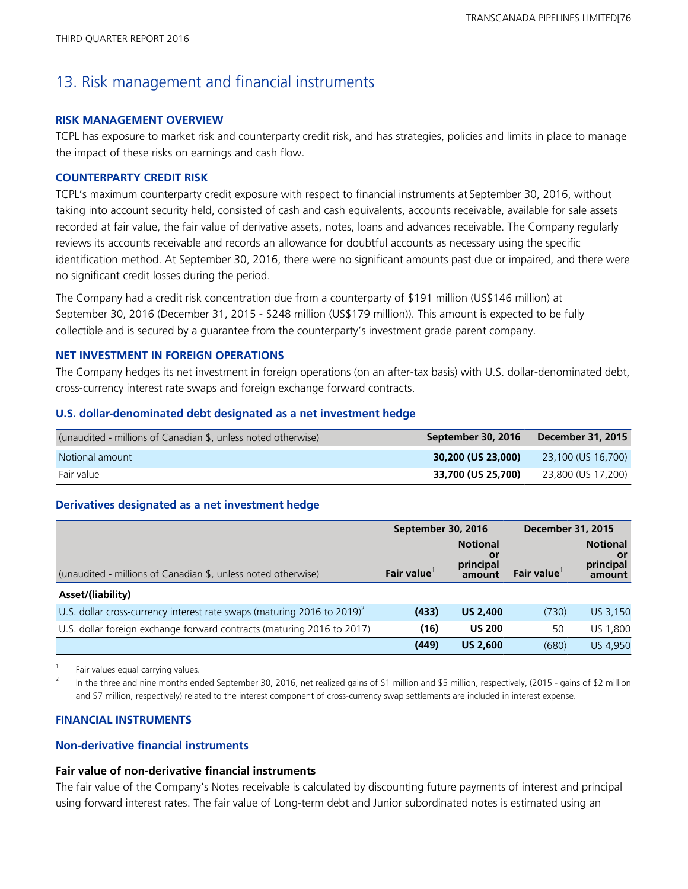# 13. Risk management and financial instruments

## **RISK MANAGEMENT OVERVIEW**

TCPL has exposure to market risk and counterparty credit risk, and has strategies, policies and limits in place to manage the impact of these risks on earnings and cash flow.

## **COUNTERPARTY CREDIT RISK**

TCPL's maximum counterparty credit exposure with respect to financial instruments at September 30, 2016, without taking into account security held, consisted of cash and cash equivalents, accounts receivable, available for sale assets recorded at fair value, the fair value of derivative assets, notes, loans and advances receivable. The Company regularly reviews its accounts receivable and records an allowance for doubtful accounts as necessary using the specific identification method. At September 30, 2016, there were no significant amounts past due or impaired, and there were no significant credit losses during the period.

The Company had a credit risk concentration due from a counterparty of \$191 million (US\$146 million) at September 30, 2016 (December 31, 2015 - \$248 million (US\$179 million)). This amount is expected to be fully collectible and is secured by a guarantee from the counterparty's investment grade parent company.

## **NET INVESTMENT IN FOREIGN OPERATIONS**

The Company hedges its net investment in foreign operations (on an after-tax basis) with U.S. dollar-denominated debt, cross-currency interest rate swaps and foreign exchange forward contracts.

## **U.S. dollar-denominated debt designated as a net investment hedge**

| (unaudited - millions of Canadian \$, unless noted otherwise) | September 30, 2016 | December 31, 2015  |
|---------------------------------------------------------------|--------------------|--------------------|
| Notional amount                                               | 30,200 (US 23,000) | 23,100 (US 16,700) |
| Fair value                                                    | 33,700 (US 25,700) | 23,800 (US 17,200) |

## **Derivatives designated as a net investment hedge**

|                                                                                     | September 30, 2016 |                                              | <b>December 31, 2015</b> |                                              |  |
|-------------------------------------------------------------------------------------|--------------------|----------------------------------------------|--------------------------|----------------------------------------------|--|
| (unaudited - millions of Canadian \$, unless noted otherwise)                       | Fair value         | <b>Notional</b><br>Οľ<br>principal<br>amount | <b>Fair value</b>        | <b>Notional</b><br>or<br>principal<br>amount |  |
| Asset/(liability)                                                                   |                    |                                              |                          |                                              |  |
| U.S. dollar cross-currency interest rate swaps (maturing 2016 to 2019) <sup>2</sup> | (433)              | <b>US 2,400</b>                              | (730)                    | US 3,150                                     |  |
| U.S. dollar foreign exchange forward contracts (maturing 2016 to 2017)              | (16)               | <b>US 200</b>                                | 50                       | US 1,800                                     |  |
|                                                                                     | (449)              | <b>US 2,600</b>                              | (680)                    | <b>US 4.950</b>                              |  |

Fair values equal carrying values.

<sup>2</sup> In the three and nine months ended September 30, 2016, net realized gains of \$1 million and \$5 million, respectively, (2015 - gains of \$2 million and \$7 million, respectively) related to the interest component of cross-currency swap settlements are included in interest expense.

## **FINANCIAL INSTRUMENTS**

## **Non-derivative financial instruments**

## **Fair value of non-derivative financial instruments**

The fair value of the Company's Notes receivable is calculated by discounting future payments of interest and principal using forward interest rates. The fair value of Long-term debt and Junior subordinated notes is estimated using an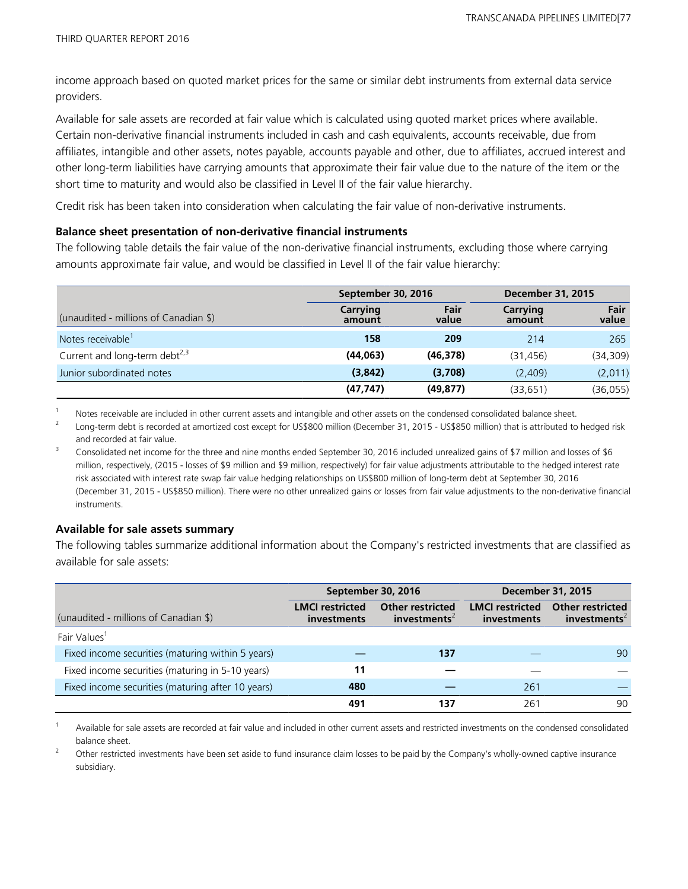income approach based on quoted market prices for the same or similar debt instruments from external data service providers.

Available for sale assets are recorded at fair value which is calculated using quoted market prices where available. Certain non-derivative financial instruments included in cash and cash equivalents, accounts receivable, due from affiliates, intangible and other assets, notes payable, accounts payable and other, due to affiliates, accrued interest and other long-term liabilities have carrying amounts that approximate their fair value due to the nature of the item or the short time to maturity and would also be classified in Level II of the fair value hierarchy.

Credit risk has been taken into consideration when calculating the fair value of non-derivative instruments.

### **Balance sheet presentation of non-derivative financial instruments**

The following table details the fair value of the non-derivative financial instruments, excluding those where carrying amounts approximate fair value, and would be classified in Level II of the fair value hierarchy:

|                                       |                    | September 30, 2016 |                    | <b>December 31, 2015</b> |  |  |
|---------------------------------------|--------------------|--------------------|--------------------|--------------------------|--|--|
| (unaudited - millions of Canadian \$) | Carrying<br>amount | Fair<br>value      | Carrying<br>amount | Fair<br>value            |  |  |
| Notes receivable <sup>1</sup>         | 158                | 209                | 214                | 265                      |  |  |
| Current and long-term debt $^{2,3}$   | (44, 063)          | (46, 378)          | (31, 456)          | (34, 309)                |  |  |
| Junior subordinated notes             | (3,842)            | (3,708)            | (2,409)            | (2,011)                  |  |  |
|                                       | (47, 747)          | (49, 877)          | (33, 651)          | (36, 055)                |  |  |

<sup>1</sup> Notes receivable are included in other current assets and intangible and other assets on the condensed consolidated balance sheet.<br><sup>2</sup> Lang term dabt is recepted at amortized sect avecant for US\$800 million (December

Long-term debt is recorded at amortized cost except for US\$800 million (December 31, 2015 - US\$850 million) that is attributed to hedged risk and recorded at fair value.

<sup>3</sup> Consolidated net income for the three and nine months ended September 30, 2016 included unrealized gains of \$7 million and losses of \$6 million, respectively, (2015 - losses of \$9 million and \$9 million, respectively) for fair value adjustments attributable to the hedged interest rate risk associated with interest rate swap fair value hedging relationships on US\$800 million of long-term debt at September 30, 2016 (December 31, 2015 - US\$850 million). There were no other unrealized gains or losses from fair value adjustments to the non-derivative financial instruments.

## **Available for sale assets summary**

The following tables summarize additional information about the Company's restricted investments that are classified as available for sale assets:

|                                                   |                                              | September 30, 2016                                  |                                       | <b>December 31, 2015</b>                            |
|---------------------------------------------------|----------------------------------------------|-----------------------------------------------------|---------------------------------------|-----------------------------------------------------|
| (unaudited - millions of Canadian \$)             | <b>LMCI</b> restricted<br><i>investments</i> | <b>Other restricted</b><br>investments <sup>2</sup> | <b>LMCI</b> restricted<br>investments | <b>Other restricted</b><br>investments <sup>2</sup> |
| Fair Values                                       |                                              |                                                     |                                       |                                                     |
| Fixed income securities (maturing within 5 years) |                                              | 137                                                 |                                       | 90                                                  |
| Fixed income securities (maturing in 5-10 years)  | 11                                           |                                                     |                                       |                                                     |
| Fixed income securities (maturing after 10 years) | 480                                          |                                                     | 261                                   |                                                     |
|                                                   | 491                                          | 137                                                 | 261                                   | 90                                                  |

Available for sale assets are recorded at fair value and included in other current assets and restricted investments on the condensed consolidated balance sheet.

<sup>2</sup>Other restricted investments have been set aside to fund insurance claim losses to be paid by the Company's wholly-owned captive insurance subsidiary.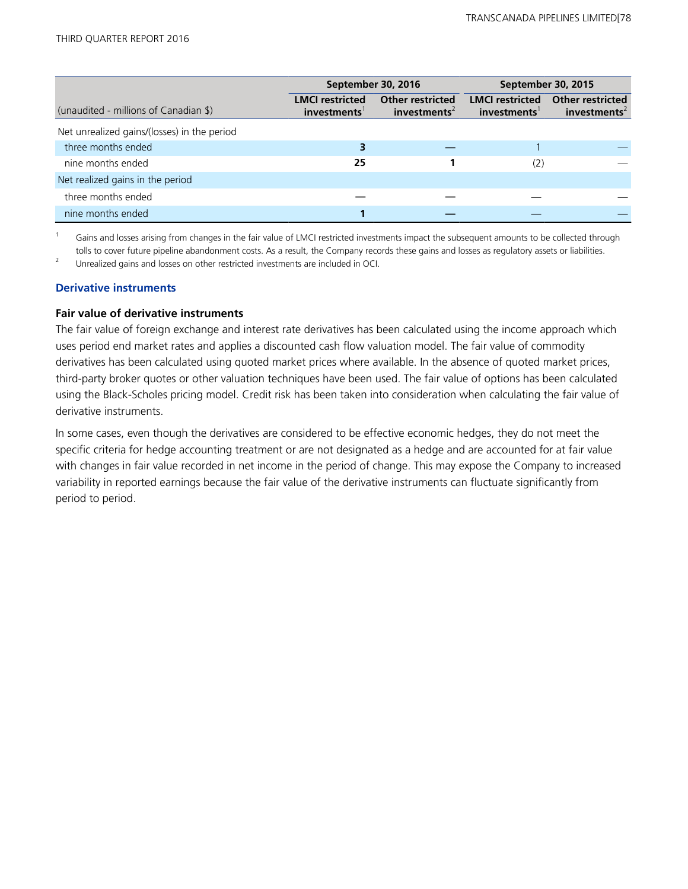|                                             |                                       | September 30, 2016                                  | September 30, 2015                    |                                                     |
|---------------------------------------------|---------------------------------------|-----------------------------------------------------|---------------------------------------|-----------------------------------------------------|
| (unaudited - millions of Canadian \$)       | <b>LMCI</b> restricted<br>investments | <b>Other restricted</b><br>investments <sup>2</sup> | <b>LMCI</b> restricted<br>investments | <b>Other restricted</b><br>investments <sup>2</sup> |
| Net unrealized gains/(losses) in the period |                                       |                                                     |                                       |                                                     |
| three months ended                          | З                                     |                                                     |                                       |                                                     |
| nine months ended                           | 25                                    |                                                     | (2)                                   |                                                     |
| Net realized gains in the period            |                                       |                                                     |                                       |                                                     |
| three months ended                          |                                       |                                                     |                                       |                                                     |
| nine months ended                           |                                       |                                                     |                                       |                                                     |

 $1$  Gains and losses arising from changes in the fair value of LMCI restricted investments impact the subsequent amounts to be collected through tolls to cover future pipeline abandonment costs. As a result, the Company records these gains and losses as regulatory assets or liabilities.

<sup>2</sup> Unrealized gains and losses on other restricted investments are included in OCI.

### **Derivative instruments**

### **Fair value of derivative instruments**

The fair value of foreign exchange and interest rate derivatives has been calculated using the income approach which uses period end market rates and applies a discounted cash flow valuation model. The fair value of commodity derivatives has been calculated using quoted market prices where available. In the absence of quoted market prices, third-party broker quotes or other valuation techniques have been used. The fair value of options has been calculated using the Black-Scholes pricing model. Credit risk has been taken into consideration when calculating the fair value of derivative instruments.

In some cases, even though the derivatives are considered to be effective economic hedges, they do not meet the specific criteria for hedge accounting treatment or are not designated as a hedge and are accounted for at fair value with changes in fair value recorded in net income in the period of change. This may expose the Company to increased variability in reported earnings because the fair value of the derivative instruments can fluctuate significantly from period to period.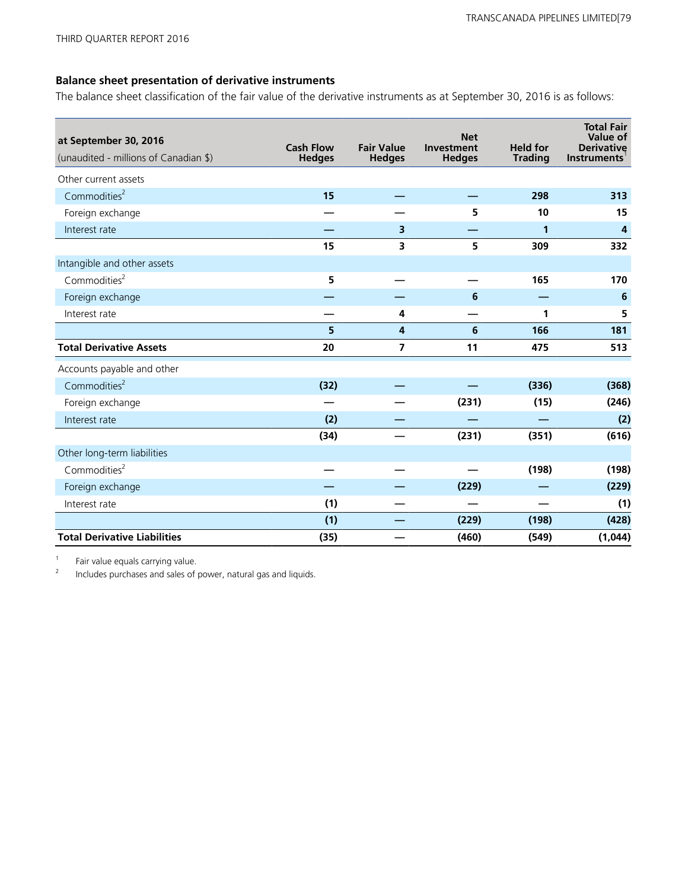## **Balance sheet presentation of derivative instruments**

The balance sheet classification of the fair value of the derivative instruments as at September 30, 2016 is as follows:

| at September 30, 2016<br>(unaudited - millions of Canadian \$) | <b>Cash Flow</b><br><b>Hedges</b> | <b>Fair Value</b><br><b>Hedges</b> | <b>Net</b><br>Investment<br><b>Hedges</b> | <b>Held for</b><br><b>Trading</b> | <b>Total Fair</b><br>Value of<br><b>Derivative</b><br><b>Instruments</b> |
|----------------------------------------------------------------|-----------------------------------|------------------------------------|-------------------------------------------|-----------------------------------|--------------------------------------------------------------------------|
| Other current assets                                           |                                   |                                    |                                           |                                   |                                                                          |
| Commodities <sup>2</sup>                                       | 15                                |                                    |                                           | 298                               | 313                                                                      |
| Foreign exchange                                               |                                   |                                    | 5                                         | 10                                | 15                                                                       |
| Interest rate                                                  |                                   | 3                                  |                                           | 1                                 | $\overline{\mathbf{r}}$                                                  |
|                                                                | 15                                | 3                                  | 5                                         | 309                               | 332                                                                      |
| Intangible and other assets                                    |                                   |                                    |                                           |                                   |                                                                          |
| Commodities <sup>2</sup>                                       | 5                                 |                                    |                                           | 165                               | 170                                                                      |
| Foreign exchange                                               |                                   |                                    | 6                                         |                                   | 6                                                                        |
| Interest rate                                                  |                                   | 4                                  |                                           | 1                                 | 5                                                                        |
|                                                                | 5                                 | $\overline{4}$                     | 6                                         | 166                               | 181                                                                      |
| <b>Total Derivative Assets</b>                                 | 20                                | $\overline{7}$                     | 11                                        | 475                               | 513                                                                      |
| Accounts payable and other                                     |                                   |                                    |                                           |                                   |                                                                          |
| Commodities <sup>2</sup>                                       | (32)                              |                                    |                                           | (336)                             | (368)                                                                    |
| Foreign exchange                                               |                                   |                                    | (231)                                     | (15)                              | (246)                                                                    |
| Interest rate                                                  | (2)                               |                                    |                                           |                                   | (2)                                                                      |
|                                                                | (34)                              |                                    | (231)                                     | (351)                             | (616)                                                                    |
| Other long-term liabilities                                    |                                   |                                    |                                           |                                   |                                                                          |
| Commodities <sup>2</sup>                                       |                                   |                                    |                                           | (198)                             | (198)                                                                    |
| Foreign exchange                                               |                                   |                                    | (229)                                     |                                   | (229)                                                                    |
| Interest rate                                                  | (1)                               |                                    |                                           |                                   | (1)                                                                      |
|                                                                | (1)                               |                                    | (229)                                     | (198)                             | (428)                                                                    |
| <b>Total Derivative Liabilities</b>                            | (35)                              |                                    | (460)                                     | (549)                             | (1,044)                                                                  |

 $\frac{1}{2}$  Fair value equals carrying value.

<sup>2</sup>Includes purchases and sales of power, natural gas and liquids.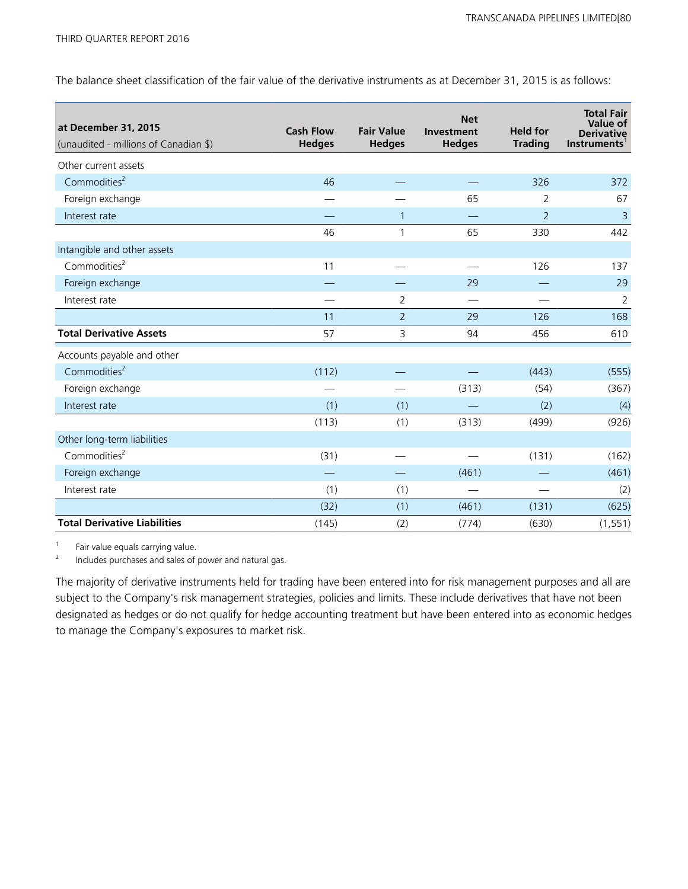The balance sheet classification of the fair value of the derivative instruments as at December 31, 2015 is as follows:

| at December 31, 2015<br>(unaudited - millions of Canadian \$) | <b>Cash Flow</b><br><b>Hedges</b> | <b>Fair Value</b><br><b>Hedges</b> | <b>Net</b><br>Investment<br><b>Hedges</b> | <b>Held for</b><br><b>Trading</b> | <b>Total Fair</b><br>Value of<br><b>Derivative</b><br><b>Instruments</b> |
|---------------------------------------------------------------|-----------------------------------|------------------------------------|-------------------------------------------|-----------------------------------|--------------------------------------------------------------------------|
| Other current assets                                          |                                   |                                    |                                           |                                   |                                                                          |
| Commodities <sup>2</sup>                                      | 46                                |                                    |                                           | 326                               | 372                                                                      |
| Foreign exchange                                              |                                   |                                    | 65                                        | 2                                 | 67                                                                       |
| Interest rate                                                 |                                   | 1                                  |                                           | $\overline{2}$                    | $\overline{3}$                                                           |
|                                                               | 46                                | 1                                  | 65                                        | 330                               | 442                                                                      |
| Intangible and other assets                                   |                                   |                                    |                                           |                                   |                                                                          |
| Commodities <sup>2</sup>                                      | 11                                |                                    |                                           | 126                               | 137                                                                      |
| Foreign exchange                                              |                                   |                                    | 29                                        |                                   | 29                                                                       |
| Interest rate                                                 |                                   | $\overline{2}$                     |                                           |                                   | $\overline{2}$                                                           |
|                                                               | 11                                | $\overline{2}$                     | 29                                        | 126                               | 168                                                                      |
| <b>Total Derivative Assets</b>                                | 57                                | 3                                  | 94                                        | 456                               | 610                                                                      |
| Accounts payable and other                                    |                                   |                                    |                                           |                                   |                                                                          |
| Commodities <sup>2</sup>                                      | (112)                             |                                    |                                           | (443)                             | (555)                                                                    |
| Foreign exchange                                              |                                   |                                    | (313)                                     | (54)                              | (367)                                                                    |
| Interest rate                                                 | (1)                               | (1)                                |                                           | (2)                               | (4)                                                                      |
|                                                               | (113)                             | (1)                                | (313)                                     | (499)                             | (926)                                                                    |
| Other long-term liabilities                                   |                                   |                                    |                                           |                                   |                                                                          |
| Commodities <sup>2</sup>                                      | (31)                              |                                    |                                           | (131)                             | (162)                                                                    |
| Foreign exchange                                              |                                   |                                    | (461)                                     |                                   | (461)                                                                    |
| Interest rate                                                 | (1)                               | (1)                                |                                           |                                   | (2)                                                                      |
|                                                               | (32)                              | (1)                                | (461)                                     | (131)                             | (625)                                                                    |
| <b>Total Derivative Liabilities</b>                           | (145)                             | (2)                                | (774)                                     | (630)                             | (1, 551)                                                                 |

 $\frac{1}{2}$  Fair value equals carrying value.

<sup>2</sup>Includes purchases and sales of power and natural gas.

The majority of derivative instruments held for trading have been entered into for risk management purposes and all are subject to the Company's risk management strategies, policies and limits. These include derivatives that have not been designated as hedges or do not qualify for hedge accounting treatment but have been entered into as economic hedges to manage the Company's exposures to market risk.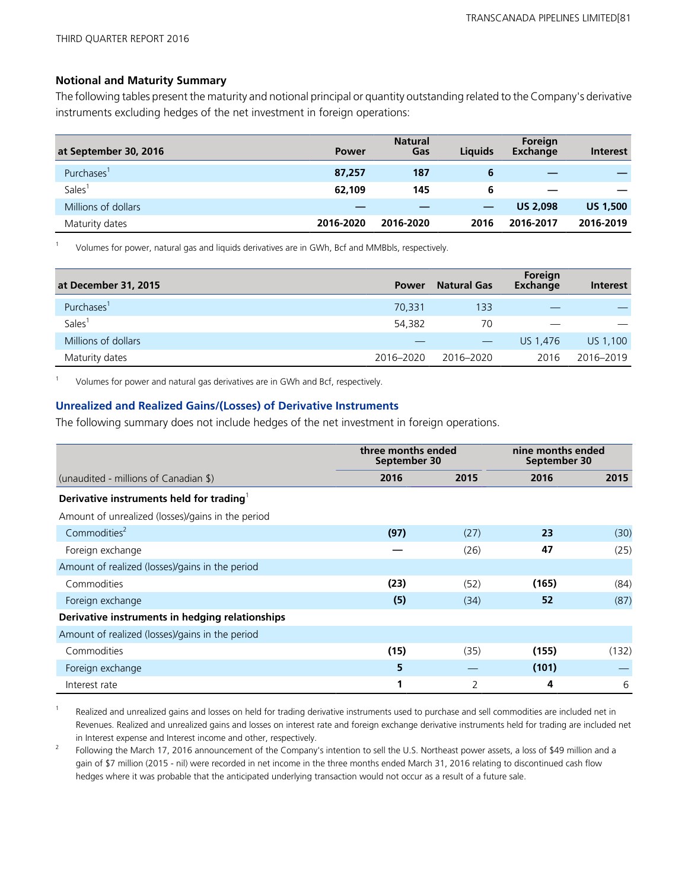### **Notional and Maturity Summary**

The following tables present the maturity and notional principal or quantity outstanding related to the Company's derivative instruments excluding hedges of the net investment in foreign operations:

| at September 30, 2016  | <b>Power</b> | <b>Natural</b><br>Gas | <b>Liquids</b> | Foreign<br>Exchange | <b>Interest</b> |
|------------------------|--------------|-----------------------|----------------|---------------------|-----------------|
| Purchases <sup>1</sup> | 87,257       | 187                   | 6              | _                   |                 |
| <b>Sales</b>           | 62,109       | 145                   | 6              |                     |                 |
| Millions of dollars    |              |                       |                | <b>US 2.098</b>     | <b>US 1,500</b> |
| Maturity dates         | 2016-2020    | 2016-2020             | 2016           | 2016-2017           | 2016-2019       |

<sup>1</sup>Volumes for power, natural gas and liquids derivatives are in GWh, Bcf and MMBbls, respectively.

| at December 31, 2015   | <b>Power</b> | <b>Natural Gas</b> | Foreign<br>Exchange | Interest  |
|------------------------|--------------|--------------------|---------------------|-----------|
| Purchases <sup>1</sup> | 70.331       | 133                |                     |           |
| Sales <sup>1</sup>     | 54,382       | 70                 |                     |           |
| Millions of dollars    |              | $\hspace{0.05cm}$  | US 1.476            | US 1,100  |
| Maturity dates         | 2016-2020    | 2016-2020          | 2016                | 2016-2019 |

Volumes for power and natural gas derivatives are in GWh and Bcf, respectively.

### **Unrealized and Realized Gains/(Losses) of Derivative Instruments**

The following summary does not include hedges of the net investment in foreign operations.

|                                                      | three months ended<br>September 30 |      | nine months ended<br>September 30 |       |
|------------------------------------------------------|------------------------------------|------|-----------------------------------|-------|
| (unaudited - millions of Canadian \$)                | 2016                               | 2015 | 2016                              | 2015  |
| Derivative instruments held for trading <sup>1</sup> |                                    |      |                                   |       |
| Amount of unrealized (losses)/gains in the period    |                                    |      |                                   |       |
| Commodities <sup>2</sup>                             | (97)                               | (27) | 23                                | (30)  |
| Foreign exchange                                     |                                    | (26) | 47                                | (25)  |
| Amount of realized (losses)/gains in the period      |                                    |      |                                   |       |
| Commodities                                          | (23)                               | (52) | (165)                             | (84)  |
| Foreign exchange                                     | (5)                                | (34) | 52                                | (87)  |
| Derivative instruments in hedging relationships      |                                    |      |                                   |       |
| Amount of realized (losses)/gains in the period      |                                    |      |                                   |       |
| Commodities                                          | (15)                               | (35) | (155)                             | (132) |
| Foreign exchange                                     | 5                                  |      | (101)                             |       |
| Interest rate                                        | 1                                  | 2    | 4                                 | 6     |

 $1$  Realized and unrealized gains and losses on held for trading derivative instruments used to purchase and sell commodities are included net in Revenues. Realized and unrealized gains and losses on interest rate and foreign exchange derivative instruments held for trading are included net in Interest expense and Interest income and other, respectively.

<sup>2</sup> Following the March 17, 2016 announcement of the Company's intention to sell the U.S. Northeast power assets, a loss of \$49 million and a gain of \$7 million (2015 - nil) were recorded in net income in the three months ended March 31, 2016 relating to discontinued cash flow hedges where it was probable that the anticipated underlying transaction would not occur as a result of a future sale.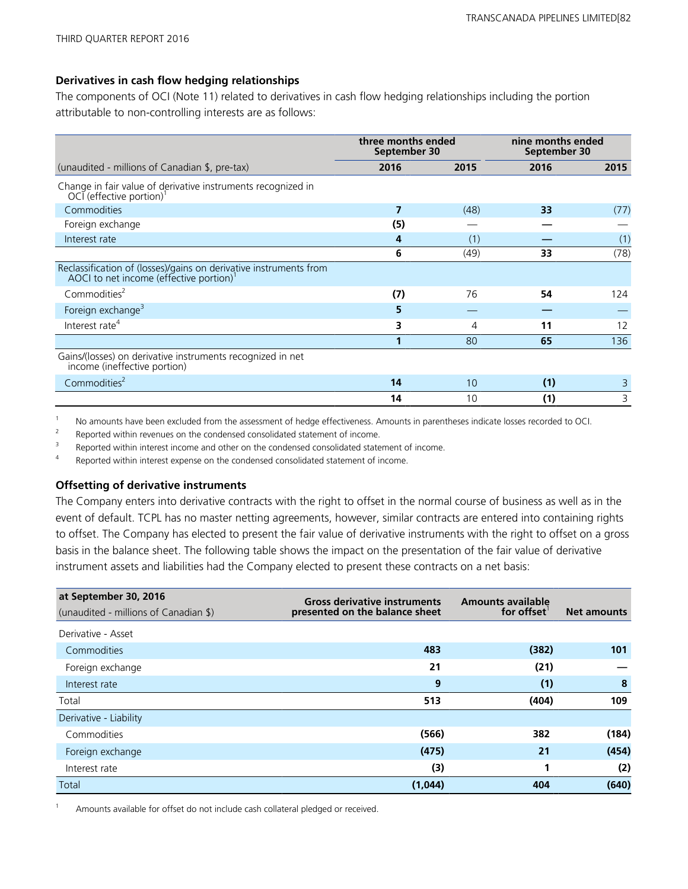## **Derivatives in cash flow hedging relationships**

The components of OCI (Note 11) related to derivatives in cash flow hedging relationships including the portion attributable to non-controlling interests are as follows:

|                                                                                                             | three months ended<br>September 30 |      | nine months ended<br>September 30 |      |
|-------------------------------------------------------------------------------------------------------------|------------------------------------|------|-----------------------------------|------|
| (unaudited - millions of Canadian \$, pre-tax)                                                              | 2016                               | 2015 | 2016                              | 2015 |
| Change in fair value of derivative instruments recognized in<br>OCI (effective portion)                     |                                    |      |                                   |      |
| Commodities                                                                                                 | 7                                  | (48) | 33                                | (77) |
| Foreign exchange                                                                                            | (5)                                |      |                                   |      |
| Interest rate                                                                                               | 4                                  | (1)  |                                   | (1)  |
|                                                                                                             | 6                                  | (49) | 33                                | (78) |
| Reclassification of (losses)/gains on derivative instruments from<br>AOCI to net income (effective portion) |                                    |      |                                   |      |
| Commodities <sup>2</sup>                                                                                    | (7)                                | 76   | 54                                | 124  |
| Foreign exchange <sup>3</sup>                                                                               | 5                                  |      |                                   |      |
| Interest rate <sup>4</sup>                                                                                  | 3                                  | 4    | 11                                | 12   |
|                                                                                                             | 1                                  | 80   | 65                                | 136  |
| Gains/(losses) on derivative instruments recognized in net<br>income (ineffective portion)                  |                                    |      |                                   |      |
| Commodities <sup>2</sup>                                                                                    | 14                                 | 10   | (1)                               | 3    |
|                                                                                                             | 14                                 | 10   | (1)                               | 3    |

1 No amounts have been excluded from the assessment of hedge effectiveness. Amounts in parentheses indicate losses recorded to OCI.

<sup>2</sup> Reported within revenues on the condensed consolidated statement of income.<br><sup>3</sup> Penerted within interest income and other on the condensed consolidated state

<sup>3</sup>Reported within interest income and other on the condensed consolidated statement of income.<br><sup>4</sup>Reported within interest exponse on the condensed consolidated statement of income

Reported within interest expense on the condensed consolidated statement of income.

### **Offsetting of derivative instruments**

The Company enters into derivative contracts with the right to offset in the normal course of business as well as in the event of default. TCPL has no master netting agreements, however, similar contracts are entered into containing rights to offset. The Company has elected to present the fair value of derivative instruments with the right to offset on a gross basis in the balance sheet. The following table shows the impact on the presentation of the fair value of derivative instrument assets and liabilities had the Company elected to present these contracts on a net basis:

| at September 30, 2016<br>(unaudited - millions of Canadian \$) | <b>Gross derivative instruments</b><br>presented on the balance sheet | <b>Amounts available</b><br>for offset | <b>Net amounts</b> |
|----------------------------------------------------------------|-----------------------------------------------------------------------|----------------------------------------|--------------------|
| Derivative - Asset                                             |                                                                       |                                        |                    |
| Commodities                                                    | 483                                                                   | (382)                                  | 101                |
| Foreign exchange                                               | 21                                                                    | (21)                                   |                    |
| Interest rate                                                  | 9                                                                     | (1)                                    | 8                  |
| Total                                                          | 513                                                                   | (404)                                  | 109                |
| Derivative - Liability                                         |                                                                       |                                        |                    |
| Commodities                                                    | (566)                                                                 | 382                                    | (184)              |
| Foreign exchange                                               | (475)                                                                 | 21                                     | (454)              |
| Interest rate                                                  | (3)                                                                   |                                        | (2)                |
| Total                                                          | (1,044)                                                               | 404                                    | (640)              |

Amounts available for offset do not include cash collateral pledged or received.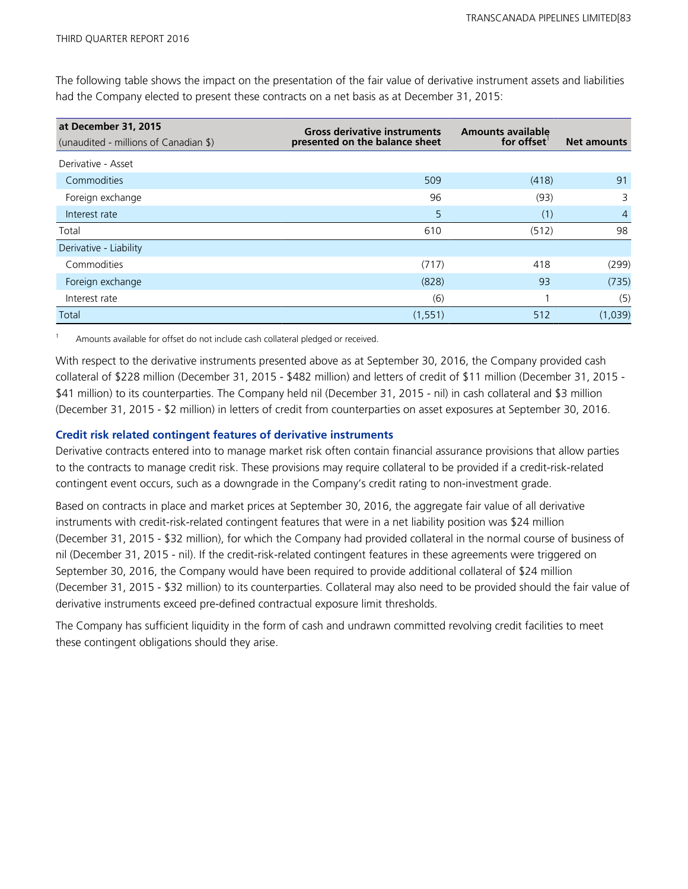The following table shows the impact on the presentation of the fair value of derivative instrument assets and liabilities had the Company elected to present these contracts on a net basis as at December 31, 2015:

| at December 31, 2015<br>(unaudited - millions of Canadian \$) | <b>Gross derivative instruments</b><br>presented on the balance sheet | <b>Amounts available</b><br>for offset | <b>Net amounts</b> |
|---------------------------------------------------------------|-----------------------------------------------------------------------|----------------------------------------|--------------------|
| Derivative - Asset                                            |                                                                       |                                        |                    |
| Commodities                                                   | 509                                                                   | (418)                                  | 91                 |
| Foreign exchange                                              | 96                                                                    | (93)                                   | 3                  |
| Interest rate                                                 | 5                                                                     | (1)                                    | $\overline{4}$     |
| Total                                                         | 610                                                                   | (512)                                  | 98                 |
| Derivative - Liability                                        |                                                                       |                                        |                    |
| Commodities                                                   | (717)                                                                 | 418                                    | (299)              |
| Foreign exchange                                              | (828)                                                                 | 93                                     | (735)              |
| Interest rate                                                 | (6)                                                                   |                                        | (5)                |
| Total                                                         | (1, 551)                                                              | 512                                    | (1,039)            |

Amounts available for offset do not include cash collateral pledged or received.

With respect to the derivative instruments presented above as at September 30, 2016, the Company provided cash collateral of \$228 million (December 31, 2015 - \$482 million) and letters of credit of \$11 million (December 31, 2015 - \$41 million) to its counterparties. The Company held nil (December 31, 2015 - nil) in cash collateral and \$3 million (December 31, 2015 - \$2 million) in letters of credit from counterparties on asset exposures at September 30, 2016.

## **Credit risk related contingent features of derivative instruments**

Derivative contracts entered into to manage market risk often contain financial assurance provisions that allow parties to the contracts to manage credit risk. These provisions may require collateral to be provided if a credit-risk-related contingent event occurs, such as a downgrade in the Company's credit rating to non-investment grade.

Based on contracts in place and market prices at September 30, 2016, the aggregate fair value of all derivative instruments with credit-risk-related contingent features that were in a net liability position was \$24 million (December 31, 2015 - \$32 million), for which the Company had provided collateral in the normal course of business of nil (December 31, 2015 - nil). If the credit-risk-related contingent features in these agreements were triggered on September 30, 2016, the Company would have been required to provide additional collateral of \$24 million (December 31, 2015 - \$32 million) to its counterparties. Collateral may also need to be provided should the fair value of derivative instruments exceed pre-defined contractual exposure limit thresholds.

The Company has sufficient liquidity in the form of cash and undrawn committed revolving credit facilities to meet these contingent obligations should they arise.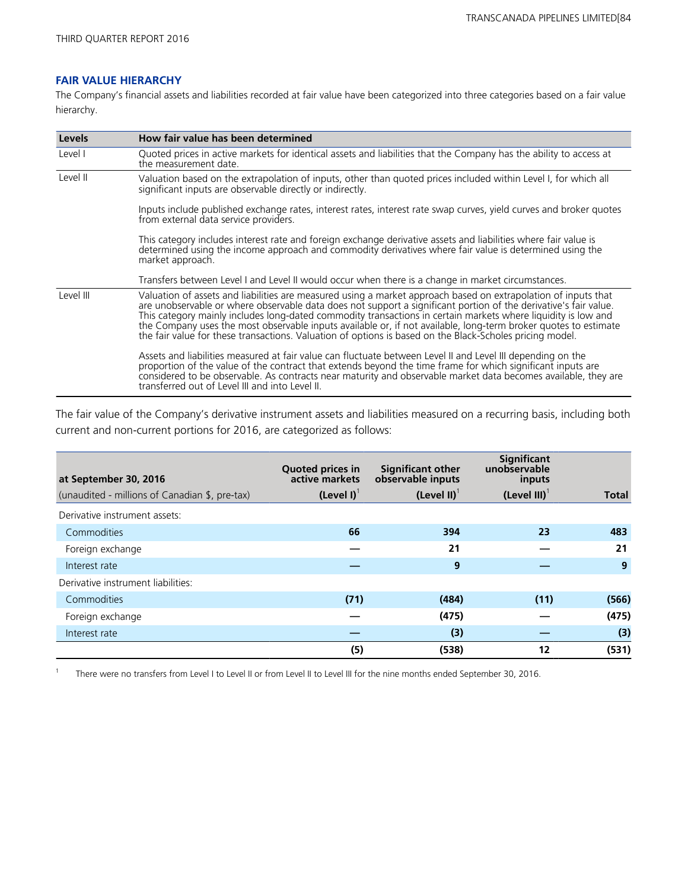### **FAIR VALUE HIERARCHY**

The Company's financial assets and liabilities recorded at fair value have been categorized into three categories based on a fair value hierarchy.

| <b>Levels</b> | How fair value has been determined                                                                                                                                                                                                                                                                                                                                                                                                                                                                                                                                                 |
|---------------|------------------------------------------------------------------------------------------------------------------------------------------------------------------------------------------------------------------------------------------------------------------------------------------------------------------------------------------------------------------------------------------------------------------------------------------------------------------------------------------------------------------------------------------------------------------------------------|
| Level I       | Quoted prices in active markets for identical assets and liabilities that the Company has the ability to access at<br>the measurement date.                                                                                                                                                                                                                                                                                                                                                                                                                                        |
| Level II      | Valuation based on the extrapolation of inputs, other than quoted prices included within Level I, for which all<br>significant inputs are observable directly or indirectly.                                                                                                                                                                                                                                                                                                                                                                                                       |
|               | Inputs include published exchange rates, interest rates, interest rate swap curves, yield curves and broker quotes<br>from external data service providers.                                                                                                                                                                                                                                                                                                                                                                                                                        |
|               | This category includes interest rate and foreign exchange derivative assets and liabilities where fair value is<br>determined using the income approach and commodity derivatives where fair value is determined using the<br>market approach.                                                                                                                                                                                                                                                                                                                                     |
|               | Transfers between Level I and Level II would occur when there is a change in market circumstances.                                                                                                                                                                                                                                                                                                                                                                                                                                                                                 |
| Level III     | Valuation of assets and liabilities are measured using a market approach based on extrapolation of inputs that<br>are unobservable or where observable data does not support a significant portion of the derivative's fair value.<br>This category mainly includes long-dated commodity transactions in certain markets where liquidity is low and<br>the Company uses the most observable inputs available or, if not available, long-term broker quotes to estimate<br>the fair value for these transactions. Valuation of options is based on the Black-Scholes pricing model. |
|               | Assets and liabilities measured at fair value can fluctuate between Level II and Level III depending on the<br>proportion of the value of the contract that extends beyond the time frame for which significant inputs are<br>considered to be observable. As contracts near maturity and observable market data becomes available, they are<br>transferred out of Level III and into Level II.                                                                                                                                                                                    |

The fair value of the Company's derivative instrument assets and liabilities measured on a recurring basis, including both current and non-current portions for 2016, are categorized as follows:

| at September 30, 2016                          | <b>Quoted prices in</b><br>active markets | <b>Significant other</b><br>observable inputs | <b>Significant</b><br>unobservable<br>inputs |       |
|------------------------------------------------|-------------------------------------------|-----------------------------------------------|----------------------------------------------|-------|
| (unaudited - millions of Canadian \$, pre-tax) | $(Level I)^T$                             | (Level II) $1$                                | $(Level III)^T$                              | Total |
| Derivative instrument assets:                  |                                           |                                               |                                              |       |
| Commodities                                    | 66                                        | 394                                           | 23                                           | 483   |
| Foreign exchange                               |                                           | 21                                            |                                              | 21    |
| Interest rate                                  |                                           | 9                                             |                                              | 9     |
| Derivative instrument liabilities:             |                                           |                                               |                                              |       |
| Commodities                                    | (71)                                      | (484)                                         | (11)                                         | (566) |
| Foreign exchange                               |                                           | (475)                                         |                                              | (475) |
| Interest rate                                  |                                           | (3)                                           |                                              | (3)   |
|                                                | (5)                                       | (538)                                         | 12                                           | (531) |

<sup>1</sup> There were no transfers from Level I to Level II or from Level II to Level III for the nine months ended September 30, 2016.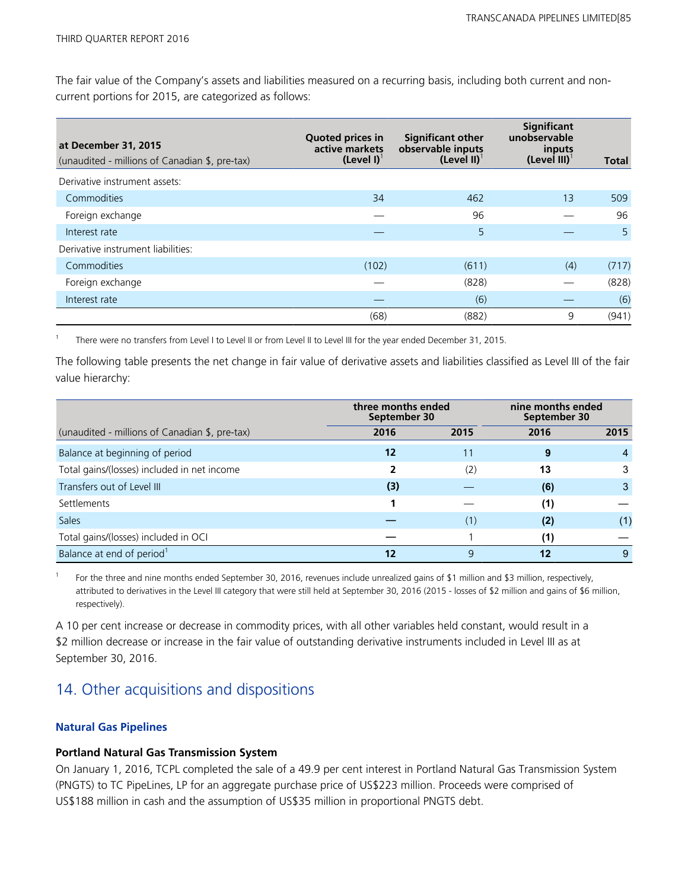The fair value of the Company's assets and liabilities measured on a recurring basis, including both current and noncurrent portions for 2015, are categorized as follows:

| at December 31, 2015<br>(unaudited - millions of Canadian \$, pre-tax) | <b>Quoted prices in</b><br>active markets<br>$(Level I)^T$ | <b>Significant other</b><br>observable inputs<br>(Level II) $1$ | Significant<br>unobservable<br>inputs<br>$(Level III)^{T}$ | <b>Total</b> |
|------------------------------------------------------------------------|------------------------------------------------------------|-----------------------------------------------------------------|------------------------------------------------------------|--------------|
| Derivative instrument assets:                                          |                                                            |                                                                 |                                                            |              |
| Commodities                                                            | 34                                                         | 462                                                             | 13                                                         | 509          |
| Foreign exchange                                                       |                                                            | 96                                                              |                                                            | 96           |
| Interest rate                                                          |                                                            | 5                                                               |                                                            | 5            |
| Derivative instrument liabilities:                                     |                                                            |                                                                 |                                                            |              |
| Commodities                                                            | (102)                                                      | (611)                                                           | (4)                                                        | (717)        |
| Foreign exchange                                                       |                                                            | (828)                                                           |                                                            | (828)        |
| Interest rate                                                          |                                                            | (6)                                                             |                                                            | (6)          |
|                                                                        | (68)                                                       | (882)                                                           | 9                                                          | (941)        |

<sup>1</sup>There were no transfers from Level I to Level II or from Level II to Level III for the year ended December 31, 2015.

The following table presents the net change in fair value of derivative assets and liabilities classified as Level III of the fair value hierarchy:

|                                                | three months ended<br>September 30 |      | nine months ended<br>September 30 |      |
|------------------------------------------------|------------------------------------|------|-----------------------------------|------|
| (unaudited - millions of Canadian \$, pre-tax) | 2016                               | 2015 | 2016                              | 2015 |
| Balance at beginning of period                 | 12                                 | 11   | 9                                 |      |
| Total gains/(losses) included in net income    | 2                                  | (2)  | 13                                | 3    |
| Transfers out of Level III                     | (3)                                |      | (6)                               | 3    |
| Settlements                                    |                                    |      | (1)                               |      |
| <b>Sales</b>                                   |                                    | (1)  | (2)                               | (1)  |
| Total gains/(losses) included in OCI           |                                    |      | (1)                               |      |
| Balance at end of period <sup>1</sup>          | 12                                 | 9    | 12                                | 9    |

<sup>1</sup>For the three and nine months ended September 30, 2016, revenues include unrealized gains of \$1 million and \$3 million, respectively, attributed to derivatives in the Level III category that were still held at September 30, 2016 (2015 - losses of \$2 million and gains of \$6 million, respectively).

A 10 per cent increase or decrease in commodity prices, with all other variables held constant, would result in a \$2 million decrease or increase in the fair value of outstanding derivative instruments included in Level III as at September 30, 2016.

## 14. Other acquisitions and dispositions

## **Natural Gas Pipelines**

## **Portland Natural Gas Transmission System**

On January 1, 2016, TCPL completed the sale of a 49.9 per cent interest in Portland Natural Gas Transmission System (PNGTS) to TC PipeLines, LP for an aggregate purchase price of US\$223 million. Proceeds were comprised of US\$188 million in cash and the assumption of US\$35 million in proportional PNGTS debt.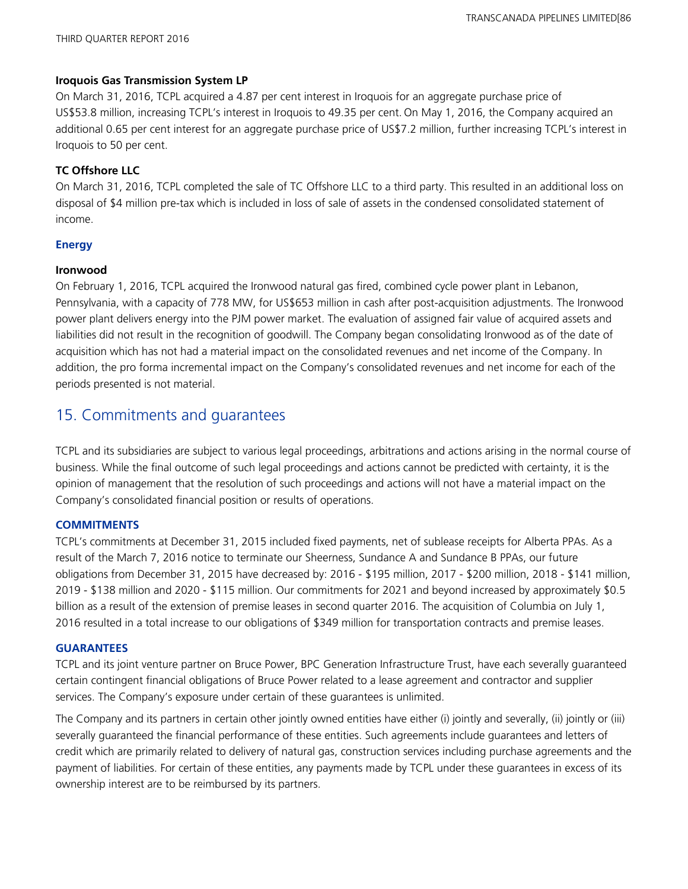## **Iroquois Gas Transmission System LP**

On March 31, 2016, TCPL acquired a 4.87 per cent interest in Iroquois for an aggregate purchase price of US\$53.8 million, increasing TCPL's interest in Iroquois to 49.35 per cent. On May 1, 2016, the Company acquired an additional 0.65 per cent interest for an aggregate purchase price of US\$7.2 million, further increasing TCPL's interest in Iroquois to 50 per cent.

## **TC Offshore LLC**

On March 31, 2016, TCPL completed the sale of TC Offshore LLC to a third party. This resulted in an additional loss on disposal of \$4 million pre-tax which is included in loss of sale of assets in the condensed consolidated statement of income.

## **Energy**

## **Ironwood**

On February 1, 2016, TCPL acquired the Ironwood natural gas fired, combined cycle power plant in Lebanon, Pennsylvania, with a capacity of 778 MW, for US\$653 million in cash after post-acquisition adjustments. The Ironwood power plant delivers energy into the PJM power market. The evaluation of assigned fair value of acquired assets and liabilities did not result in the recognition of goodwill. The Company began consolidating Ironwood as of the date of acquisition which has not had a material impact on the consolidated revenues and net income of the Company. In addition, the pro forma incremental impact on the Company's consolidated revenues and net income for each of the periods presented is not material.

## 15. Commitments and guarantees

TCPL and its subsidiaries are subject to various legal proceedings, arbitrations and actions arising in the normal course of business. While the final outcome of such legal proceedings and actions cannot be predicted with certainty, it is the opinion of management that the resolution of such proceedings and actions will not have a material impact on the Company's consolidated financial position or results of operations.

## **COMMITMENTS**

TCPL's commitments at December 31, 2015 included fixed payments, net of sublease receipts for Alberta PPAs. As a result of the March 7, 2016 notice to terminate our Sheerness, Sundance A and Sundance B PPAs, our future obligations from December 31, 2015 have decreased by: 2016 - \$195 million, 2017 - \$200 million, 2018 - \$141 million, 2019 - \$138 million and 2020 - \$115 million. Our commitments for 2021 and beyond increased by approximately \$0.5 billion as a result of the extension of premise leases in second quarter 2016. The acquisition of Columbia on July 1, 2016 resulted in a total increase to our obligations of \$349 million for transportation contracts and premise leases.

## **GUARANTEES**

TCPL and its joint venture partner on Bruce Power, BPC Generation Infrastructure Trust, have each severally guaranteed certain contingent financial obligations of Bruce Power related to a lease agreement and contractor and supplier services. The Company's exposure under certain of these guarantees is unlimited.

The Company and its partners in certain other jointly owned entities have either (i) jointly and severally, (ii) jointly or (iii) severally guaranteed the financial performance of these entities. Such agreements include guarantees and letters of credit which are primarily related to delivery of natural gas, construction services including purchase agreements and the payment of liabilities. For certain of these entities, any payments made by TCPL under these guarantees in excess of its ownership interest are to be reimbursed by its partners.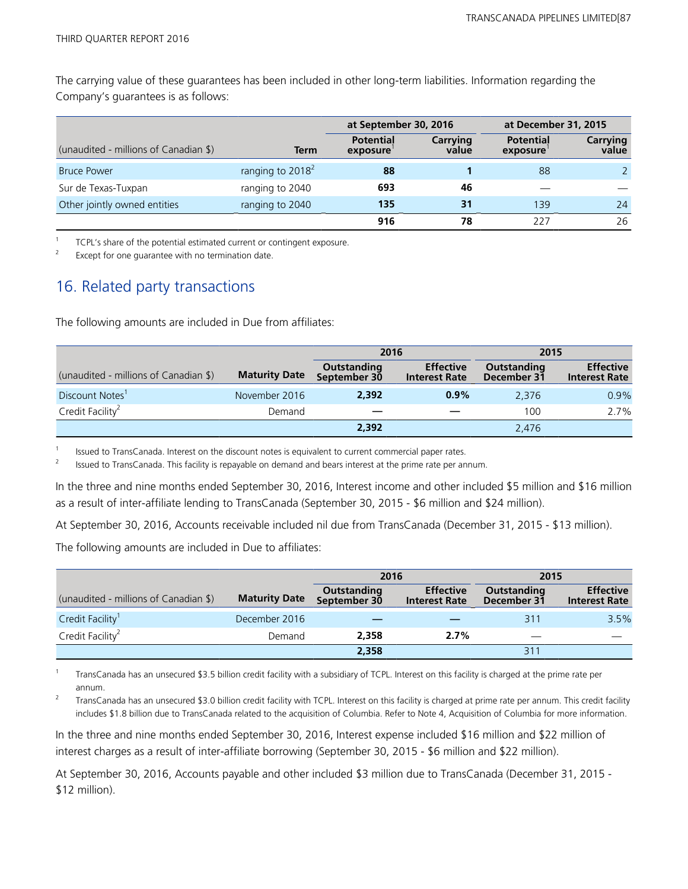The carrying value of these guarantees has been included in other long-term liabilities. Information regarding the Company's guarantees is as follows:

|                                       |                     | at September 30, 2016        |                   | at December 31, 2015         |                   |
|---------------------------------------|---------------------|------------------------------|-------------------|------------------------------|-------------------|
| (unaudited - millions of Canadian \$) | Term                | <b>Potential</b><br>exposure | Carrying<br>value | <b>Potential</b><br>exposure | Carrying<br>value |
| <b>Bruce Power</b>                    | ranging to $2018^2$ | 88                           |                   | 88                           |                   |
| Sur de Texas-Tuxpan                   | ranging to 2040     | 693                          | 46                |                              |                   |
| Other jointly owned entities          | ranging to 2040     | 135                          | 31                | 139                          | 24                |
|                                       |                     | 916                          | 78                | 227                          | 26                |

1 TCPL's share of the potential estimated current or contingent exposure.

Except for one guarantee with no termination date.

## 16. Related party transactions

The following amounts are included in Due from affiliates:

|                                       |                      | 2016                        |                                          | 2015                       |                                          |
|---------------------------------------|----------------------|-----------------------------|------------------------------------------|----------------------------|------------------------------------------|
| (unaudited - millions of Canadian \$) | <b>Maturity Date</b> | Outstanding<br>September 30 | <b>Effective</b><br><b>Interest Rate</b> | Outstanding<br>December 31 | <b>Effective</b><br><b>Interest Rate</b> |
| Discount Notes <sup>1</sup>           | November 2016        | 2.392                       | $0.9\%$                                  | 2.376                      | 0.9%                                     |
| Credit Facility <sup>2</sup>          | Demand               | —                           |                                          | 100                        | 2.7%                                     |
|                                       |                      | 2,392                       |                                          | 2,476                      |                                          |

<sup>1</sup>Issued to TransCanada. Interest on the discount notes is equivalent to current commercial paper rates.

<sup>2</sup>Issued to TransCanada. This facility is repayable on demand and bears interest at the prime rate per annum.

In the three and nine months ended September 30, 2016, Interest income and other included \$5 million and \$16 million as a result of inter-affiliate lending to TransCanada (September 30, 2015 - \$6 million and \$24 million).

At September 30, 2016, Accounts receivable included nil due from TransCanada (December 31, 2015 - \$13 million).

The following amounts are included in Due to affiliates:

|                                       |                      | 2016                        |                                          | 2015                       |                                          |
|---------------------------------------|----------------------|-----------------------------|------------------------------------------|----------------------------|------------------------------------------|
| (unaudited - millions of Canadian \$) | <b>Maturity Date</b> | Outstanding<br>September 30 | <b>Effective</b><br><b>Interest Rate</b> | Outstanding<br>December 31 | <b>Effective</b><br><b>Interest Rate</b> |
| Credit Facility <sup>1</sup>          | December 2016        |                             |                                          | 311                        | 3.5%                                     |
| Credit Facility <sup>2</sup>          | Demand               | 2.358                       | 2.7%                                     |                            |                                          |
|                                       |                      | 2,358                       |                                          | 311                        |                                          |

1 TransCanada has an unsecured \$3.5 billion credit facility with a subsidiary of TCPL. Interest on this facility is charged at the prime rate per annum.

2 TransCanada has an unsecured \$3.0 billion credit facility with TCPL. Interest on this facility is charged at prime rate per annum. This credit facility includes \$1.8 billion due to TransCanada related to the acquisition of Columbia. Refer to Note 4, Acquisition of Columbia for more information.

In the three and nine months ended September 30, 2016, Interest expense included \$16 million and \$22 million of interest charges as a result of inter-affiliate borrowing (September 30, 2015 - \$6 million and \$22 million).

At September 30, 2016, Accounts payable and other included \$3 million due to TransCanada (December 31, 2015 - \$12 million).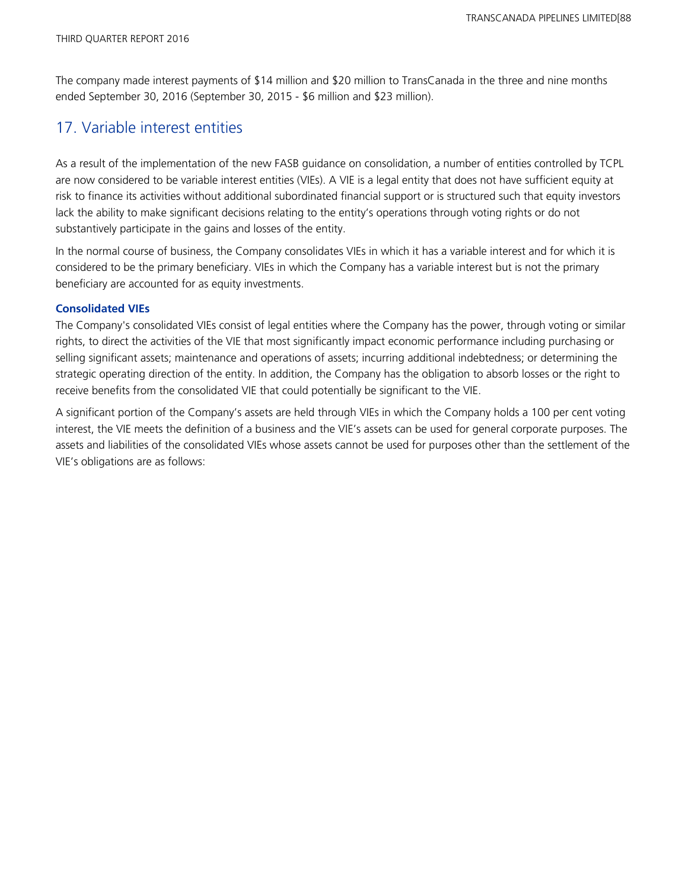The company made interest payments of \$14 million and \$20 million to TransCanada in the three and nine months ended September 30, 2016 (September 30, 2015 - \$6 million and \$23 million).

## 17. Variable interest entities

As a result of the implementation of the new FASB guidance on consolidation, a number of entities controlled by TCPL are now considered to be variable interest entities (VIEs). A VIE is a legal entity that does not have sufficient equity at risk to finance its activities without additional subordinated financial support or is structured such that equity investors lack the ability to make significant decisions relating to the entity's operations through voting rights or do not substantively participate in the gains and losses of the entity.

In the normal course of business, the Company consolidates VIEs in which it has a variable interest and for which it is considered to be the primary beneficiary. VIEs in which the Company has a variable interest but is not the primary beneficiary are accounted for as equity investments.

## **Consolidated VIEs**

The Company's consolidated VIEs consist of legal entities where the Company has the power, through voting or similar rights, to direct the activities of the VIE that most significantly impact economic performance including purchasing or selling significant assets; maintenance and operations of assets; incurring additional indebtedness; or determining the strategic operating direction of the entity. In addition, the Company has the obligation to absorb losses or the right to receive benefits from the consolidated VIE that could potentially be significant to the VIE.

A significant portion of the Company's assets are held through VIEs in which the Company holds a 100 per cent voting interest, the VIE meets the definition of a business and the VIE's assets can be used for general corporate purposes. The assets and liabilities of the consolidated VIEs whose assets cannot be used for purposes other than the settlement of the VIE's obligations are as follows: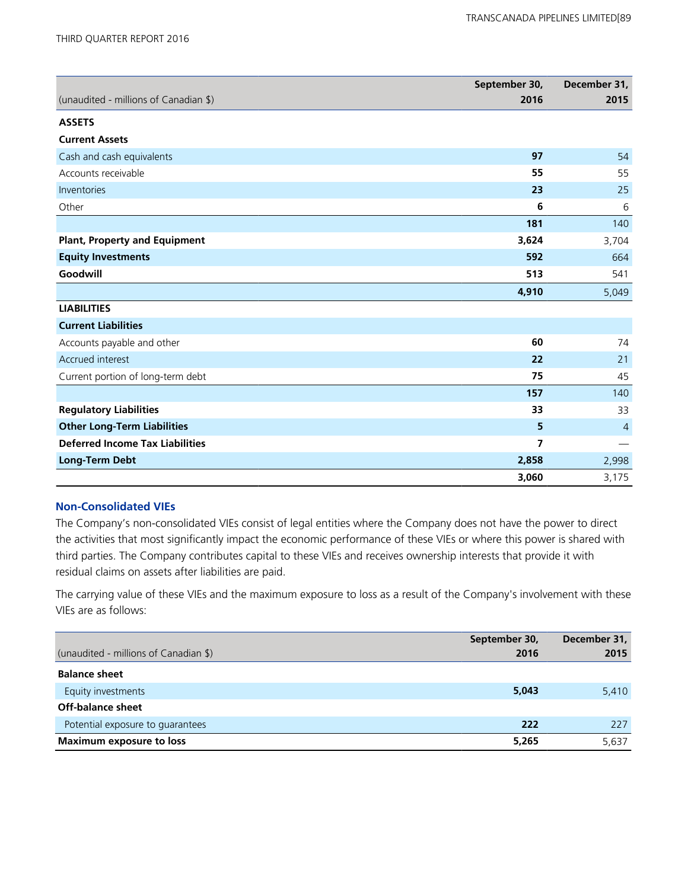|                                        | September 30, | December 31,                   |
|----------------------------------------|---------------|--------------------------------|
| (unaudited - millions of Canadian \$)  | 2016          | 2015                           |
| <b>ASSETS</b>                          |               |                                |
| <b>Current Assets</b>                  |               |                                |
| Cash and cash equivalents              | 97            | 54                             |
| Accounts receivable                    | 55            | 55                             |
| Inventories                            | 23            | 25                             |
| Other                                  | 6             | 6                              |
|                                        | 181           | 140                            |
| <b>Plant, Property and Equipment</b>   | 3,624         | 3,704                          |
| <b>Equity Investments</b>              | 592           | 664                            |
| Goodwill                               | 513           | 541                            |
|                                        | 4,910         | 5,049                          |
| <b>LIABILITIES</b>                     |               |                                |
| <b>Current Liabilities</b>             |               |                                |
| Accounts payable and other             | 60            | 74                             |
| Accrued interest                       | 22            | 21                             |
| Current portion of long-term debt      | 75            | 45                             |
|                                        | 157           | 140                            |
| <b>Regulatory Liabilities</b>          | 33            | 33                             |
| <b>Other Long-Term Liabilities</b>     | 5             | $\overline{4}$                 |
| <b>Deferred Income Tax Liabilities</b> | 7             | $\qquad \qquad \longleftarrow$ |
| <b>Long-Term Debt</b>                  | 2,858         | 2,998                          |
|                                        | 3,060         | 3,175                          |

### **Non-Consolidated VIEs**

The Company's non-consolidated VIEs consist of legal entities where the Company does not have the power to direct the activities that most significantly impact the economic performance of these VIEs or where this power is shared with third parties. The Company contributes capital to these VIEs and receives ownership interests that provide it with residual claims on assets after liabilities are paid.

The carrying value of these VIEs and the maximum exposure to loss as a result of the Company's involvement with these VIEs are as follows:

| (unaudited - millions of Canadian \$) | September 30,<br>2016 | December 31,<br>2015 |
|---------------------------------------|-----------------------|----------------------|
| <b>Balance sheet</b>                  |                       |                      |
| Equity investments                    | 5,043                 | 5,410                |
| Off-balance sheet                     |                       |                      |
| Potential exposure to guarantees      | 222                   | 227                  |
| Maximum exposure to loss              | 5,265                 | 5,637                |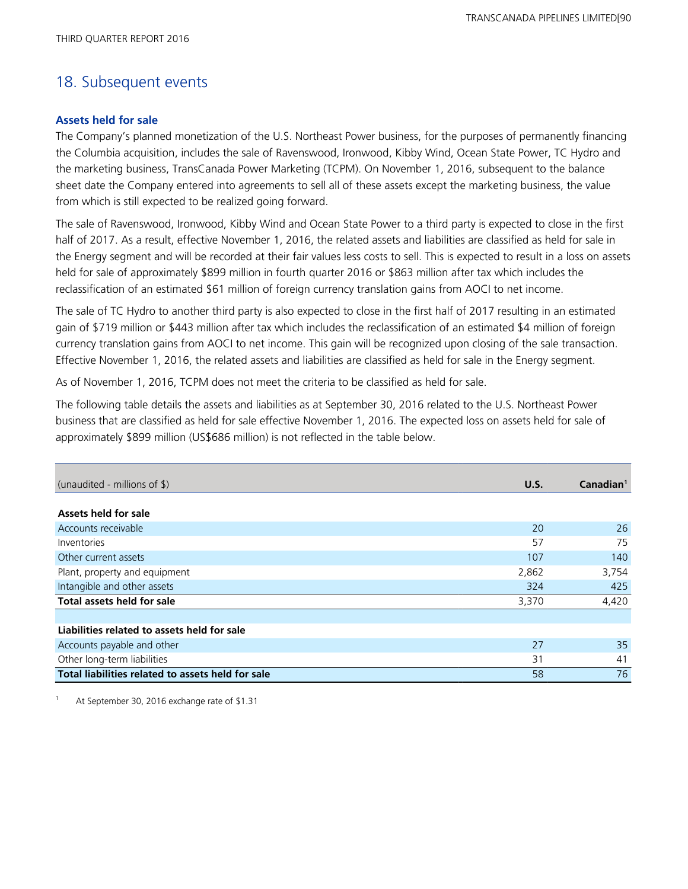## 18. Subsequent events

## **Assets held for sale**

The Company's planned monetization of the U.S. Northeast Power business, for the purposes of permanently financing the Columbia acquisition, includes the sale of Ravenswood, Ironwood, Kibby Wind, Ocean State Power, TC Hydro and the marketing business, TransCanada Power Marketing (TCPM). On November 1, 2016, subsequent to the balance sheet date the Company entered into agreements to sell all of these assets except the marketing business, the value from which is still expected to be realized going forward.

The sale of Ravenswood, Ironwood, Kibby Wind and Ocean State Power to a third party is expected to close in the first half of 2017. As a result, effective November 1, 2016, the related assets and liabilities are classified as held for sale in the Energy segment and will be recorded at their fair values less costs to sell. This is expected to result in a loss on assets held for sale of approximately \$899 million in fourth quarter 2016 or \$863 million after tax which includes the reclassification of an estimated \$61 million of foreign currency translation gains from AOCI to net income.

The sale of TC Hydro to another third party is also expected to close in the first half of 2017 resulting in an estimated gain of \$719 million or \$443 million after tax which includes the reclassification of an estimated \$4 million of foreign currency translation gains from AOCI to net income. This gain will be recognized upon closing of the sale transaction. Effective November 1, 2016, the related assets and liabilities are classified as held for sale in the Energy segment.

As of November 1, 2016, TCPM does not meet the criteria to be classified as held for sale.

The following table details the assets and liabilities as at September 30, 2016 related to the U.S. Northeast Power business that are classified as held for sale effective November 1, 2016. The expected loss on assets held for sale of approximately \$899 million (US\$686 million) is not reflected in the table below.

| (unaudited - millions of $\frac{1}{2}$ )          | U.S.  | Canadian <sup>1</sup> |
|---------------------------------------------------|-------|-----------------------|
|                                                   |       |                       |
| Assets held for sale                              |       |                       |
| Accounts receivable                               | 20    | 26                    |
| Inventories                                       | 57    | 75                    |
| Other current assets                              | 107   | 140                   |
| Plant, property and equipment                     | 2,862 | 3,754                 |
| Intangible and other assets                       | 324   | 425                   |
| Total assets held for sale                        | 3,370 | 4,420                 |
|                                                   |       |                       |
| Liabilities related to assets held for sale       |       |                       |
| Accounts payable and other                        | 27    | 35                    |
| Other long-term liabilities                       | 31    | 41                    |
| Total liabilities related to assets held for sale | 58    | 76                    |

<sup>1</sup>At September 30, 2016 exchange rate of \$1.31